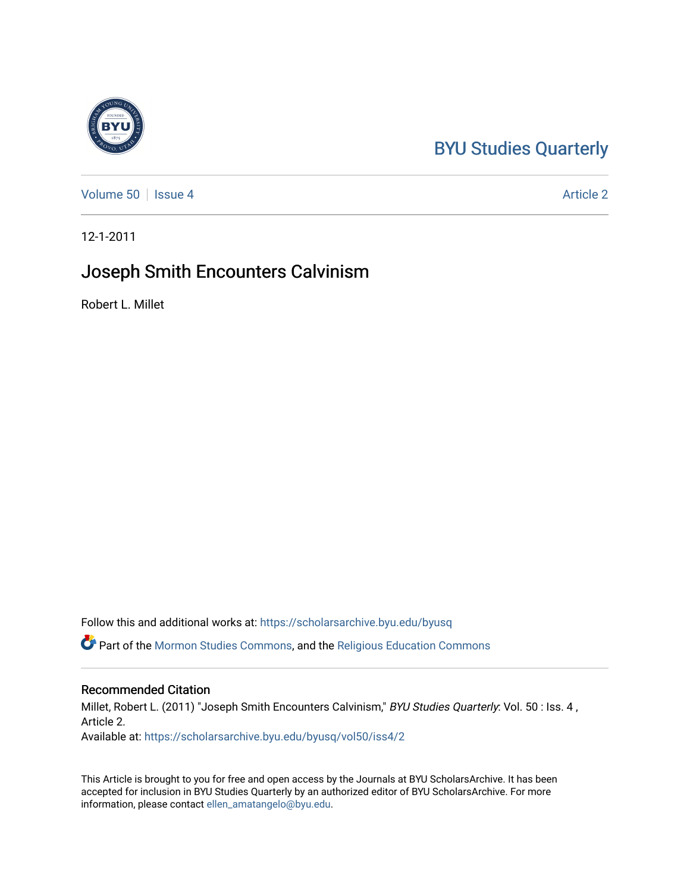# [BYU Studies Quarterly](https://scholarsarchive.byu.edu/byusq)

[Volume 50](https://scholarsarchive.byu.edu/byusq/vol50) | [Issue 4](https://scholarsarchive.byu.edu/byusq/vol50/iss4) Article 2

12-1-2011

# Joseph Smith Encounters Calvinism

Robert L. Millet

Follow this and additional works at: [https://scholarsarchive.byu.edu/byusq](https://scholarsarchive.byu.edu/byusq?utm_source=scholarsarchive.byu.edu%2Fbyusq%2Fvol50%2Fiss4%2F2&utm_medium=PDF&utm_campaign=PDFCoverPages) 

Part of the [Mormon Studies Commons](http://network.bepress.com/hgg/discipline/1360?utm_source=scholarsarchive.byu.edu%2Fbyusq%2Fvol50%2Fiss4%2F2&utm_medium=PDF&utm_campaign=PDFCoverPages), and the [Religious Education Commons](http://network.bepress.com/hgg/discipline/1414?utm_source=scholarsarchive.byu.edu%2Fbyusq%2Fvol50%2Fiss4%2F2&utm_medium=PDF&utm_campaign=PDFCoverPages) 

## Recommended Citation

Millet, Robert L. (2011) "Joseph Smith Encounters Calvinism," BYU Studies Quarterly: Vol. 50 : Iss. 4, Article 2. Available at: [https://scholarsarchive.byu.edu/byusq/vol50/iss4/2](https://scholarsarchive.byu.edu/byusq/vol50/iss4/2?utm_source=scholarsarchive.byu.edu%2Fbyusq%2Fvol50%2Fiss4%2F2&utm_medium=PDF&utm_campaign=PDFCoverPages)

This Article is brought to you for free and open access by the Journals at BYU ScholarsArchive. It has been accepted for inclusion in BYU Studies Quarterly by an authorized editor of BYU ScholarsArchive. For more information, please contact [ellen\\_amatangelo@byu.edu.](mailto:ellen_amatangelo@byu.edu)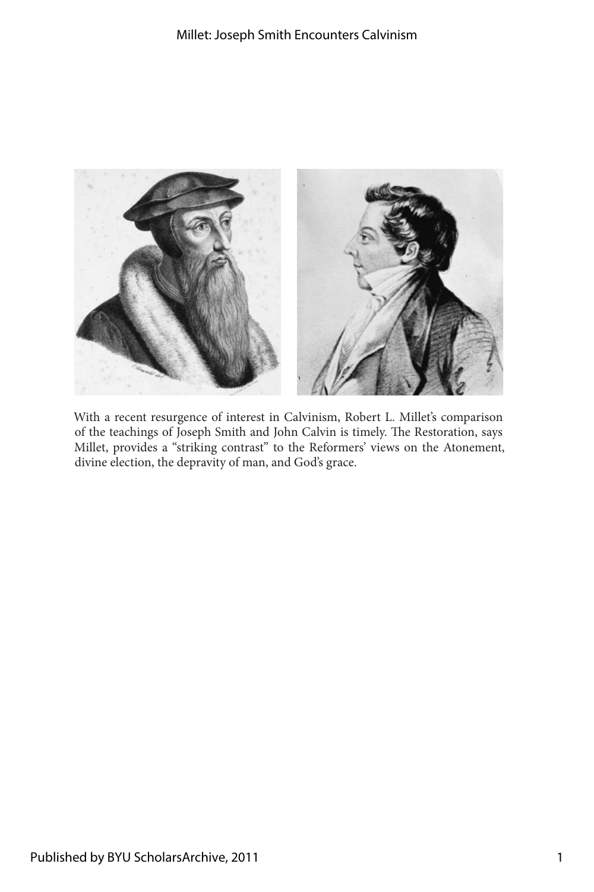

With a recent resurgence of interest in Calvinism, Robert L. Millet's comparison of the teachings of Joseph Smith and John Calvin is timely. The Restoration, says Millet, provides a "striking contrast" to the Reformers' views on the Atonement, divine election, the depravity of man, and God's grace.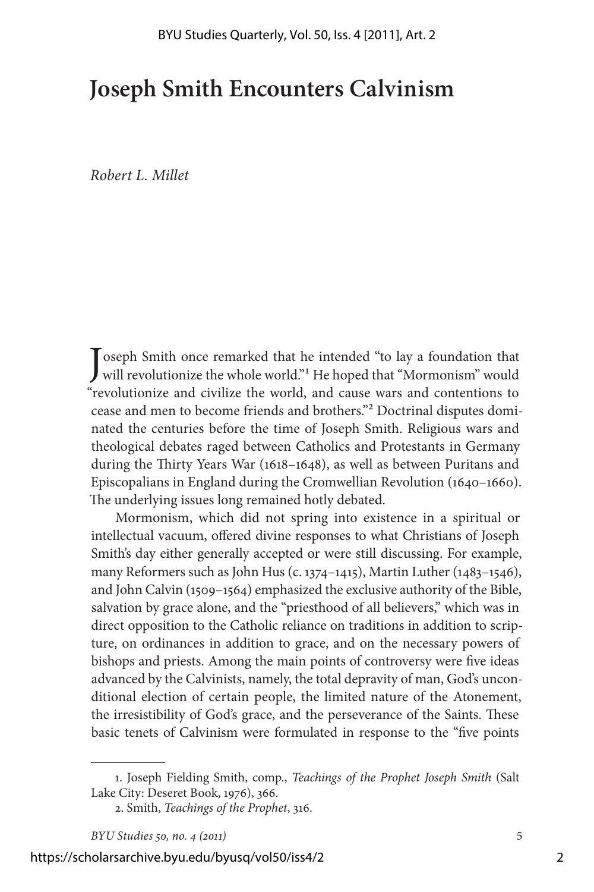# **Joseph Smith Encounters Calvinism**

*Robert L. Millet*

Joseph Smith once remarked that he intended "to lay a foundation that will revolutionize the whole world."<sup>1</sup> He hoped that "Mormonism" would oseph Smith once remarked that he intended "to lay a foundation that "revolutionize and civilize the world, and cause wars and contentions to cease and men to become friends and brothers."2 Doctrinal disputes dominated the centuries before the time of Joseph Smith. Religious wars and theological debates raged between Catholics and Protestants in Germany during the Thirty Years War (1618–1648), as well as between Puritans and Episcopalians in England during the Cromwellian Revolution (1640–1660). The underlying issues long remained hotly debated.

Mormonism, which did not spring into existence in a spiritual or intellectual vacuum, offered divine responses to what Christians of Joseph Smith's day either generally accepted or were still discussing. For example, many Reformers such as John Hus (c. 1374–1415), Martin Luther (1483–1546), and John Calvin (1509–1564) emphasized the exclusive authority of the Bible, salvation by grace alone, and the "priesthood of all believers," which was in direct opposition to the Catholic reliance on traditions in addition to scripture, on ordinances in addition to grace, and on the necessary powers of bishops and priests. Among the main points of controversy were five ideas advanced by the Calvinists, namely, the total depravity of man, God's unconditional election of certain people, the limited nature of the Atonement, the irresistibility of God's grace, and the perseverance of the Saints. These basic tenets of Calvinism were formulated in response to the "five points

<sup>1.</sup> Joseph Fielding Smith, comp., *Teachings of the Prophet Joseph Smith* (Salt Lake City: Deseret Book, 1976), 366.

<sup>2.</sup> Smith, *Teachings of the Prophet*, 316.

*BYU Studies 50, no. 4 (2011)* 5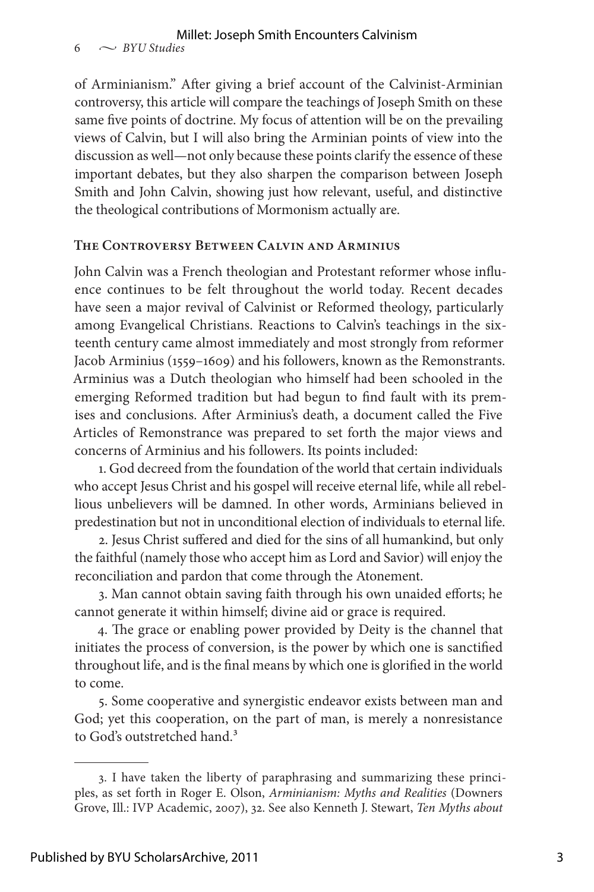6 ~ *BYU Studies* 

of Arminianism." After giving a brief account of the Calvinist-Arminian controversy, this article will compare the teachings of Joseph Smith on these same five points of doctrine. My focus of attention will be on the prevailing views of Calvin, but I will also bring the Arminian points of view into the discussion as well—not only because these points clarify the essence of these important debates, but they also sharpen the comparison between Joseph Smith and John Calvin, showing just how relevant, useful, and distinctive the theological contributions of Mormonism actually are.

#### **The Controversy Between Calvin and Arminius**

John Calvin was a French theologian and Protestant reformer whose influence continues to be felt throughout the world today. Recent decades have seen a major revival of Calvinist or Reformed theology, particularly among Evangelical Christians. Reactions to Calvin's teachings in the sixteenth century came almost immediately and most strongly from reformer Jacob Arminius (1559–1609) and his followers, known as the Remonstrants. Arminius was a Dutch theologian who himself had been schooled in the emerging Reformed tradition but had begun to find fault with its premises and conclusions. After Arminius's death, a document called the Five Articles of Remonstrance was prepared to set forth the major views and concerns of Arminius and his followers. Its points included:

1. God decreed from the foundation of the world that certain individuals who accept Jesus Christ and his gospel will receive eternal life, while all rebellious unbelievers will be damned. In other words, Arminians believed in predestination but not in unconditional election of individuals to eternal life.

2. Jesus Christ suffered and died for the sins of all humankind, but only the faithful (namely those who accept him as Lord and Savior) will enjoy the reconciliation and pardon that come through the Atonement.

3. Man cannot obtain saving faith through his own unaided efforts; he cannot generate it within himself; divine aid or grace is required.

4. The grace or enabling power provided by Deity is the channel that initiates the process of conversion, is the power by which one is sanctified throughout life, and is the final means by which one is glorified in the world to come.

5. Some cooperative and synergistic endeavor exists between man and God; yet this cooperation, on the part of man, is merely a nonresistance to God's outstretched hand.<sup>3</sup>

<sup>3.</sup> I have taken the liberty of paraphrasing and summarizing these principles, as set forth in Roger E. Olson, *Arminianism: Myths and Realities* (Downers Grove, Ill.: IVP Academic, 2007), 32. See also Kenneth J. Stewart, *Ten Myths about*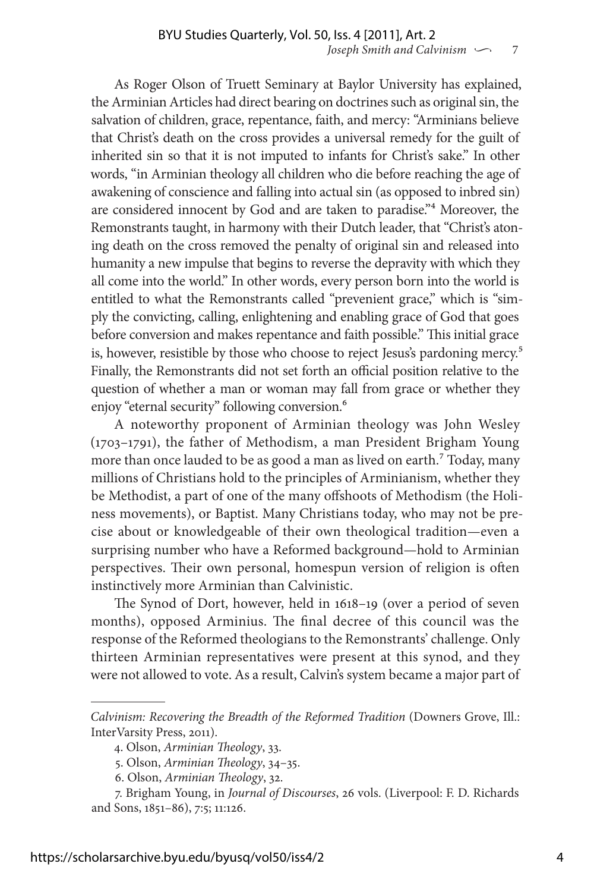## As Roger Olson of Truett Seminary at Baylor University has explained, the Arminian Articles had direct bearing on doctrines such as original sin, the salvation of children, grace, repentance, faith, and mercy: "Arminians believe that Christ's death on the cross provides a universal remedy for the guilt of inherited sin so that it is not imputed to infants for Christ's sake." In other words, "in Arminian theology all children who die before reaching the age of awakening of conscience and falling into actual sin (as opposed to inbred sin) are considered innocent by God and are taken to paradise."4 Moreover, the Remonstrants taught, in harmony with their Dutch leader, that "Christ's atoning death on the cross removed the penalty of original sin and released into humanity a new impulse that begins to reverse the depravity with which they all come into the world." In other words, every person born into the world is entitled to what the Remonstrants called "prevenient grace," which is "simply the convicting, calling, enlightening and enabling grace of God that goes before conversion and makes repentance and faith possible." This initial grace is, however, resistible by those who choose to reject Jesus's pardoning mercy.<sup>5</sup> Finally, the Remonstrants did not set forth an official position relative to the question of whether a man or woman may fall from grace or whether they enjoy "eternal security" following conversion.<sup>6</sup>

A noteworthy proponent of Arminian theology was John Wesley (1703–1791), the father of Methodism, a man President Brigham Young more than once lauded to be as good a man as lived on earth.<sup>7</sup> Today, many millions of Christians hold to the principles of Arminianism, whether they be Methodist, a part of one of the many offshoots of Methodism (the Holiness movements), or Baptist. Many Christians today, who may not be precise about or knowledgeable of their own theological tradition—even a surprising number who have a Reformed background—hold to Arminian perspectives. Their own personal, homespun version of religion is often instinctively more Arminian than Calvinistic.

The Synod of Dort, however, held in 1618–19 (over a period of seven months), opposed Arminius. The final decree of this council was the response of the Reformed theologians to the Remonstrants' challenge. Only thirteen Arminian representatives were present at this synod, and they were not allowed to vote. As a result, Calvin's system became a major part of

*Calvinism: Recovering the Breadth of the Reformed Tradition* (Downers Grove, Ill.: InterVarsity Press, 2011).

<sup>4.</sup> Olson, *Arminian Theology*, 33.

<sup>5.</sup> Olson, *Arminian Theology*, 34–35.

<sup>6.</sup> Olson, *Arminian Theology*, 32.

<sup>7.</sup> Brigham Young, in *Journal of Discourses*, 26 vols. (Liverpool: F. D. Richards and Sons, 1851–86), 7:5; 11:126.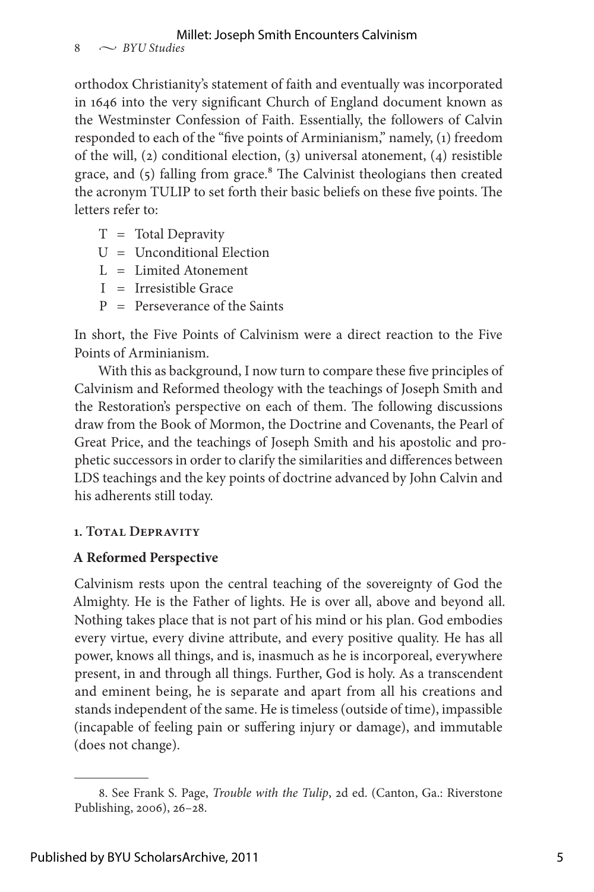8 ~ *BYU Studies* 

orthodox Christianity's statement of faith and eventually was incorporated in 1646 into the very significant Church of England document known as the Westminster Confession of Faith. Essentially, the followers of Calvin responded to each of the "five points of Arminianism," namely, (1) freedom of the will, (2) conditional election, (3) universal atonement, (4) resistible grace, and  $(5)$  falling from grace.<sup>8</sup> The Calvinist theologians then created the acronym TULIP to set forth their basic beliefs on these five points. The letters refer to:

- T = Total Depravity
- $U =$  Unconditional Election
- $L =$  Limited Atonement
- $I =$  Irresistible Grace
- $P =$  Perseverance of the Saints

In short, the Five Points of Calvinism were a direct reaction to the Five Points of Arminianism.

With this as background, I now turn to compare these five principles of Calvinism and Reformed theology with the teachings of Joseph Smith and the Restoration's perspective on each of them. The following discussions draw from the Book of Mormon, the Doctrine and Covenants, the Pearl of Great Price, and the teachings of Joseph Smith and his apostolic and prophetic successors in order to clarify the similarities and differences between LDS teachings and the key points of doctrine advanced by John Calvin and his adherents still today.

## **1. Total Depravity**

## **A Reformed Perspective**

Calvinism rests upon the central teaching of the sovereignty of God the Almighty. He is the Father of lights. He is over all, above and beyond all. Nothing takes place that is not part of his mind or his plan. God embodies every virtue, every divine attribute, and every positive quality. He has all power, knows all things, and is, inasmuch as he is incorporeal, everywhere present, in and through all things. Further, God is holy. As a transcendent and eminent being, he is separate and apart from all his creations and stands independent of the same. He is timeless (outside of time), impassible (incapable of feeling pain or suffering injury or damage), and immutable (does not change).

<sup>8.</sup> See Frank S. Page, *Trouble with the Tulip*, 2d ed. (Canton, Ga.: Riverstone Publishing, 2006), 26–28.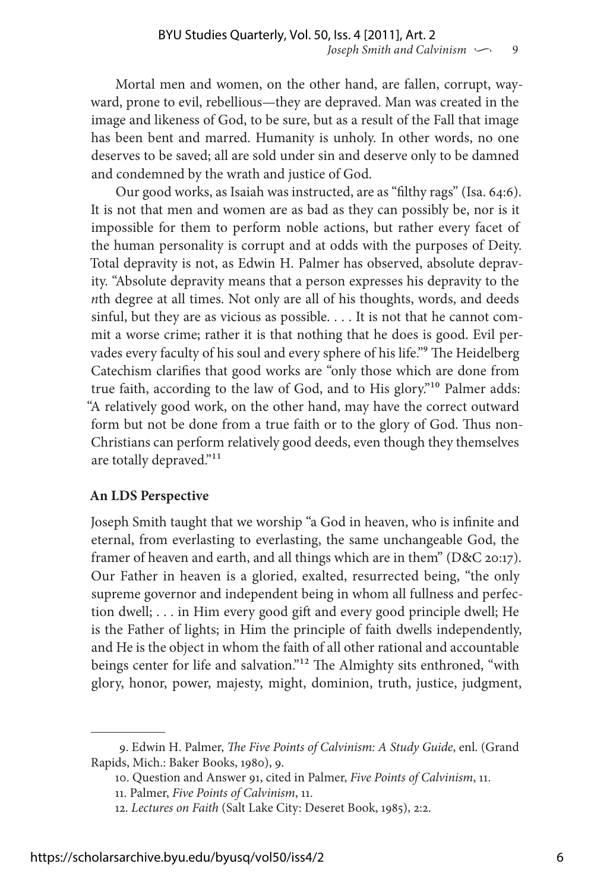Mortal men and women, on the other hand, are fallen, corrupt, wayward, prone to evil, rebellious—they are depraved. Man was created in the image and likeness of God, to be sure, but as a result of the Fall that image has been bent and marred. Humanity is unholy. In other words, no one deserves to be saved; all are sold under sin and deserve only to be damned and condemned by the wrath and justice of God.

Our good works, as Isaiah was instructed, are as "filthy rags" (Isa. 64:6). It is not that men and women are as bad as they can possibly be, nor is it impossible for them to perform noble actions, but rather every facet of the human personality is corrupt and at odds with the purposes of Deity. Total depravity is not, as Edwin H. Palmer has observed, absolute depravity. "Absolute depravity means that a person expresses his depravity to the *n*th degree at all times. Not only are all of his thoughts, words, and deeds sinful, but they are as vicious as possible. . . . It is not that he cannot commit a worse crime; rather it is that nothing that he does is good. Evil pervades every faculty of his soul and every sphere of his life."<sup>9</sup> The Heidelberg Catechism clarifies that good works are "only those which are done from true faith, according to the law of God, and to His glory."10 Palmer adds: "A relatively good work, on the other hand, may have the correct outward form but not be done from a true faith or to the glory of God. Thus non-Christians can perform relatively good deeds, even though they themselves are totally depraved."11

#### **An LDS Perspective**

Joseph Smith taught that we worship "a God in heaven, who is infinite and eternal, from everlasting to everlasting, the same unchangeable God, the framer of heaven and earth, and all things which are in them" (D&C 20:17). Our Father in heaven is a gloried, exalted, resurrected being, "the only supreme governor and independent being in whom all fullness and perfection dwell; . . . in Him every good gift and every good principle dwell; He is the Father of lights; in Him the principle of faith dwells independently, and He is the object in whom the faith of all other rational and accountable beings center for life and salvation."12 The Almighty sits enthroned, "with glory, honor, power, majesty, might, dominion, truth, justice, judgment,

<sup>9.</sup> Edwin H. Palmer, *The Five Points of Calvinism: A Study Guide*, enl. (Grand Rapids, Mich.: Baker Books, 1980), 9.

<sup>10.</sup> Question and Answer 91, cited in Palmer, *Five Points of Calvinism*, 11.

<sup>11.</sup> Palmer, *Five Points of Calvinism*, 11.

<sup>12.</sup> *Lectures on Faith* (Salt Lake City: Deseret Book, 1985), 2:2.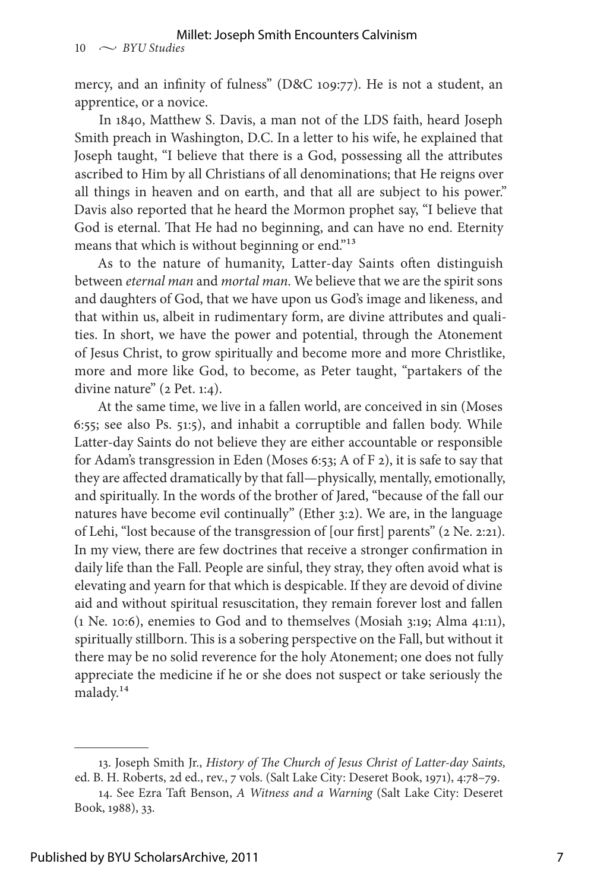mercy, and an infinity of fulness" (D&C 109:77). He is not a student, an apprentice, or a novice.

In 1840, Matthew S. Davis, a man not of the LDS faith, heard Joseph Smith preach in Washington, D.C. In a letter to his wife, he explained that Joseph taught, "I believe that there is a God, possessing all the attributes ascribed to Him by all Christians of all denominations; that He reigns over all things in heaven and on earth, and that all are subject to his power." Davis also reported that he heard the Mormon prophet say, "I believe that God is eternal. That He had no beginning, and can have no end. Eternity means that which is without beginning or end."<sup>13</sup>

As to the nature of humanity, Latter-day Saints often distinguish between *eternal man* and *mortal man*. We believe that we are the spirit sons and daughters of God, that we have upon us God's image and likeness, and that within us, albeit in rudimentary form, are divine attributes and qualities. In short, we have the power and potential, through the Atonement of Jesus Christ, to grow spiritually and become more and more Christlike, more and more like God, to become, as Peter taught, "partakers of the divine nature" (2 Pet. 1:4).

At the same time, we live in a fallen world, are conceived in sin (Moses 6:55; see also Ps. 51:5), and inhabit a corruptible and fallen body. While Latter-day Saints do not believe they are either accountable or responsible for Adam's transgression in Eden (Moses 6:53; A of F 2), it is safe to say that they are affected dramatically by that fall—physically, mentally, emotionally, and spiritually. In the words of the brother of Jared, "because of the fall our natures have become evil continually" (Ether 3:2). We are, in the language of Lehi, "lost because of the transgression of [our first] parents" (2 Ne. 2:21). In my view, there are few doctrines that receive a stronger confirmation in daily life than the Fall. People are sinful, they stray, they often avoid what is elevating and yearn for that which is despicable. If they are devoid of divine aid and without spiritual resuscitation, they remain forever lost and fallen (1 Ne. 10:6), enemies to God and to themselves (Mosiah 3:19; Alma 41:11), spiritually stillborn. This is a sobering perspective on the Fall, but without it there may be no solid reverence for the holy Atonement; one does not fully appreciate the medicine if he or she does not suspect or take seriously the malady.14

<sup>13.</sup> Joseph Smith Jr., *History of The Church of Jesus Christ of Latter-day Saints,* ed. B. H. Roberts, 2d ed., rev., 7 vols. (Salt Lake City: Deseret Book, 1971), 4:78–79.

<sup>14.</sup> See Ezra Taft Benson, *A Witness and a Warning* (Salt Lake City: Deseret Book, 1988), 33.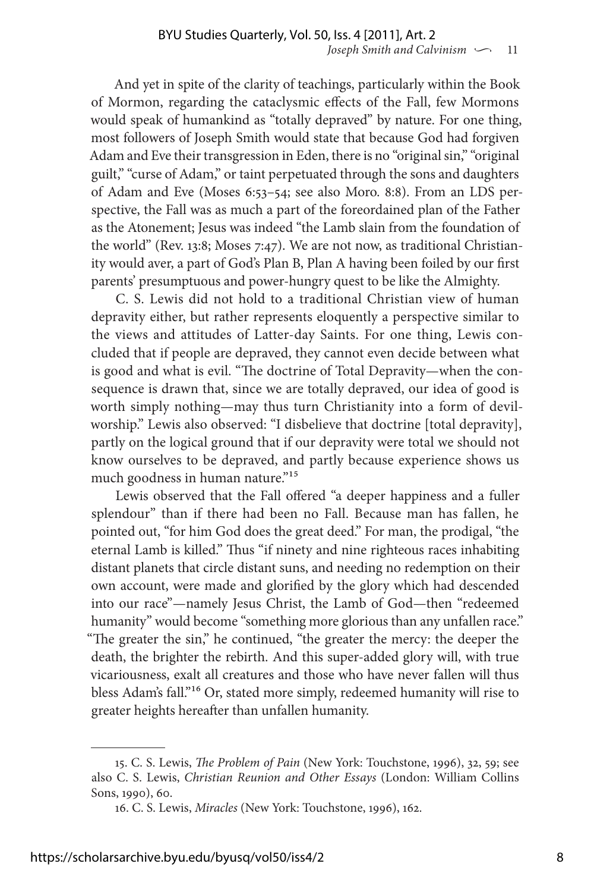And yet in spite of the clarity of teachings, particularly within the Book of Mormon, regarding the cataclysmic effects of the Fall, few Mormons would speak of humankind as "totally depraved" by nature. For one thing, most followers of Joseph Smith would state that because God had forgiven Adam and Eve their transgression in Eden, there is no "original sin," "original guilt," "curse of Adam," or taint perpetuated through the sons and daughters of Adam and Eve (Moses 6:53–54; see also Moro. 8:8). From an LDS perspective, the Fall was as much a part of the foreordained plan of the Father as the Atonement; Jesus was indeed "the Lamb slain from the foundation of the world" (Rev. 13:8; Moses 7:47). We are not now, as traditional Christianity would aver, a part of God's Plan B, Plan A having been foiled by our first parents' presumptuous and power-hungry quest to be like the Almighty.

C. S. Lewis did not hold to a traditional Christian view of human depravity either, but rather represents eloquently a perspective similar to the views and attitudes of Latter-day Saints. For one thing, Lewis concluded that if people are depraved, they cannot even decide between what is good and what is evil. "The doctrine of Total Depravity—when the consequence is drawn that, since we are totally depraved, our idea of good is worth simply nothing—may thus turn Christianity into a form of devilworship." Lewis also observed: "I disbelieve that doctrine [total depravity], partly on the logical ground that if our depravity were total we should not know ourselves to be depraved, and partly because experience shows us much goodness in human nature."<sup>15</sup>

Lewis observed that the Fall offered "a deeper happiness and a fuller splendour" than if there had been no Fall. Because man has fallen, he pointed out, "for him God does the great deed." For man, the prodigal, "the eternal Lamb is killed." Thus "if ninety and nine righteous races inhabiting distant planets that circle distant suns, and needing no redemption on their own account, were made and glorified by the glory which had descended into our race"—namely Jesus Christ, the Lamb of God—then "redeemed humanity" would become "something more glorious than any unfallen race." "The greater the sin," he continued, "the greater the mercy: the deeper the death, the brighter the rebirth. And this super-added glory will, with true vicariousness, exalt all creatures and those who have never fallen will thus bless Adam's fall."16 Or, stated more simply, redeemed humanity will rise to greater heights hereafter than unfallen humanity.

<sup>15.</sup> C. S. Lewis, *The Problem of Pain* (New York: Touchstone, 1996), 32, 59; see also C. S. Lewis, *Christian Reunion and Other Essays* (London: William Collins Sons, 1990), 60.

<sup>16.</sup> C. S. Lewis, *Miracles* (New York: Touchstone, 1996), 162.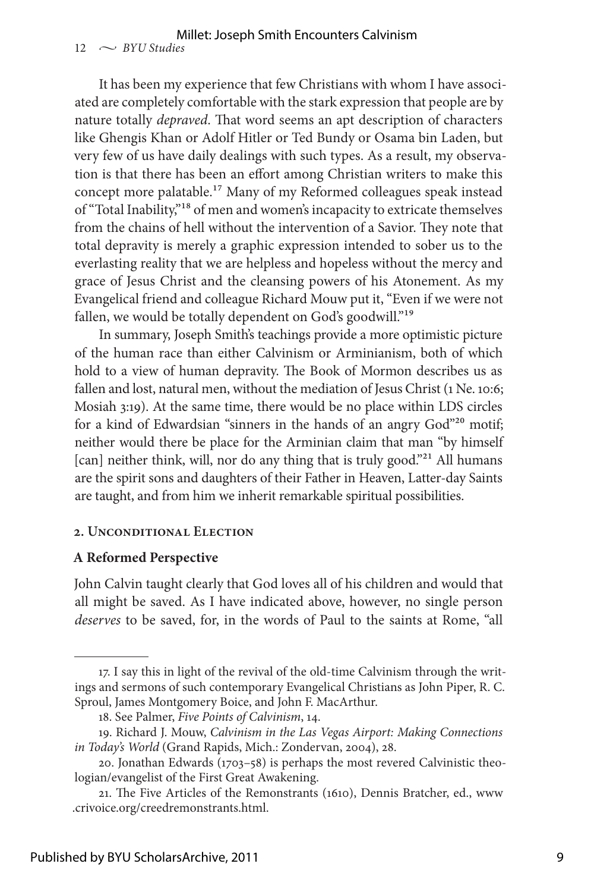12  $\sim$  *BYU Studies* 

It has been my experience that few Christians with whom I have associated are completely comfortable with the stark expression that people are by nature totally *depraved*. That word seems an apt description of characters like Ghengis Khan or Adolf Hitler or Ted Bundy or Osama bin Laden, but very few of us have daily dealings with such types. As a result, my observation is that there has been an effort among Christian writers to make this concept more palatable.17 Many of my Reformed colleagues speak instead of "Total Inability,"18 of men and women's incapacity to extricate themselves from the chains of hell without the intervention of a Savior. They note that total depravity is merely a graphic expression intended to sober us to the everlasting reality that we are helpless and hopeless without the mercy and grace of Jesus Christ and the cleansing powers of his Atonement. As my Evangelical friend and colleague Richard Mouw put it, "Even if we were not fallen, we would be totally dependent on God's goodwill."<sup>19</sup>

In summary, Joseph Smith's teachings provide a more optimistic picture of the human race than either Calvinism or Arminianism, both of which hold to a view of human depravity. The Book of Mormon describes us as fallen and lost, natural men, without the mediation of Jesus Christ (1 Ne. 10:6; Mosiah 3:19). At the same time, there would be no place within LDS circles for a kind of Edwardsian "sinners in the hands of an angry God"<sup>20</sup> motif; neither would there be place for the Arminian claim that man "by himself [can] neither think, will, nor do any thing that is truly good."<sup>21</sup> All humans are the spirit sons and daughters of their Father in Heaven, Latter-day Saints are taught, and from him we inherit remarkable spiritual possibilities.

#### **2. Unconditional Election**

#### **A Reformed Perspective**

John Calvin taught clearly that God loves all of his children and would that all might be saved. As I have indicated above, however, no single person *deserves* to be saved, for, in the words of Paul to the saints at Rome, "all

<sup>17.</sup> I say this in light of the revival of the old-time Calvinism through the writings and sermons of such contemporary Evangelical Christians as John Piper, R. C. Sproul, James Montgomery Boice, and John F. MacArthur.

<sup>18.</sup> See Palmer, *Five Points of Calvinism*, 14.

<sup>19.</sup> Richard J. Mouw, *Calvinism in the Las Vegas Airport: Making Connections in Today's World* (Grand Rapids, Mich.: Zondervan, 2004), 28.

<sup>20.</sup> Jonathan Edwards (1703–58) is perhaps the most revered Calvinistic theologian/evangelist of the First Great Awakening.

<sup>21.</sup> The Five Articles of the Remonstrants (1610), Dennis Bratcher, ed., www .crivoice.org/creedremonstrants.html.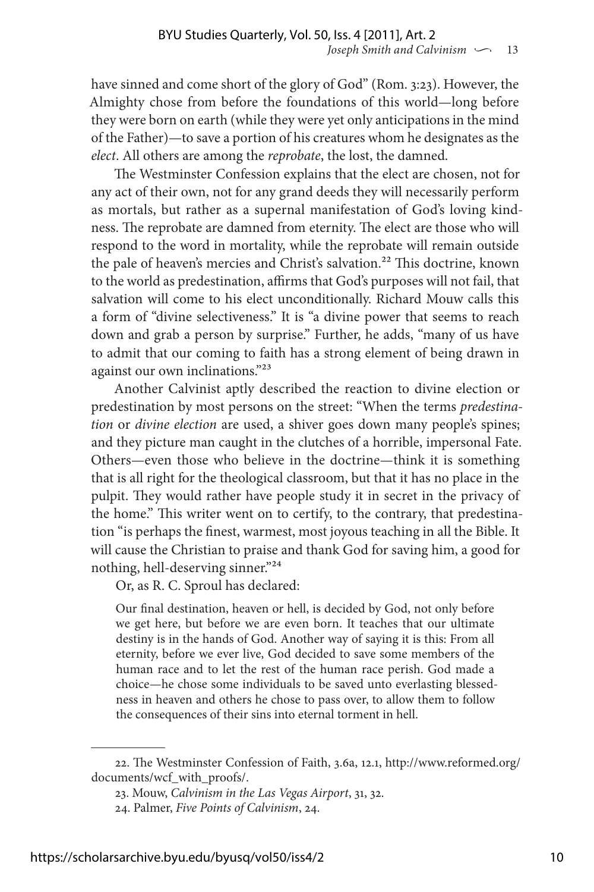have sinned and come short of the glory of God" (Rom. 3:23). However, the Almighty chose from before the foundations of this world—long before they were born on earth (while they were yet only anticipations in the mind of the Father)—to save a portion of his creatures whom he designates as the *elect*. All others are among the *reprobate*, the lost, the damned.

The Westminster Confession explains that the elect are chosen, not for any act of their own, not for any grand deeds they will necessarily perform as mortals, but rather as a supernal manifestation of God's loving kindness. The reprobate are damned from eternity. The elect are those who will respond to the word in mortality, while the reprobate will remain outside the pale of heaven's mercies and Christ's salvation.<sup>22</sup> This doctrine, known to the world as predestination, affirms that God's purposes will not fail, that salvation will come to his elect unconditionally. Richard Mouw calls this a form of "divine selectiveness." It is "a divine power that seems to reach down and grab a person by surprise." Further, he adds, "many of us have to admit that our coming to faith has a strong element of being drawn in against our own inclinations."23

Another Calvinist aptly described the reaction to divine election or predestination by most persons on the street: "When the terms *predestination* or *divine election* are used, a shiver goes down many people's spines; and they picture man caught in the clutches of a horrible, impersonal Fate. Others—even those who believe in the doctrine—think it is something that is all right for the theological classroom, but that it has no place in the pulpit. They would rather have people study it in secret in the privacy of the home." This writer went on to certify, to the contrary, that predestination "is perhaps the finest, warmest, most joyous teaching in all the Bible. It will cause the Christian to praise and thank God for saving him, a good for nothing, hell-deserving sinner."24

Or, as R. C. Sproul has declared:

Our final destination, heaven or hell, is decided by God, not only before we get here, but before we are even born. It teaches that our ultimate destiny is in the hands of God. Another way of saying it is this: From all eternity, before we ever live, God decided to save some members of the human race and to let the rest of the human race perish. God made a choice—he chose some individuals to be saved unto everlasting blessedness in heaven and others he chose to pass over, to allow them to follow the consequences of their sins into eternal torment in hell.

<sup>22.</sup> The Westminster Confession of Faith, 3.6a, 12.1, http://www.reformed.org/ documents/wcf\_with\_proofs/.

<sup>23.</sup> Mouw, *Calvinism in the Las Vegas Airport*, 31, 32.

<sup>24.</sup> Palmer, *Five Points of Calvinism*, 24.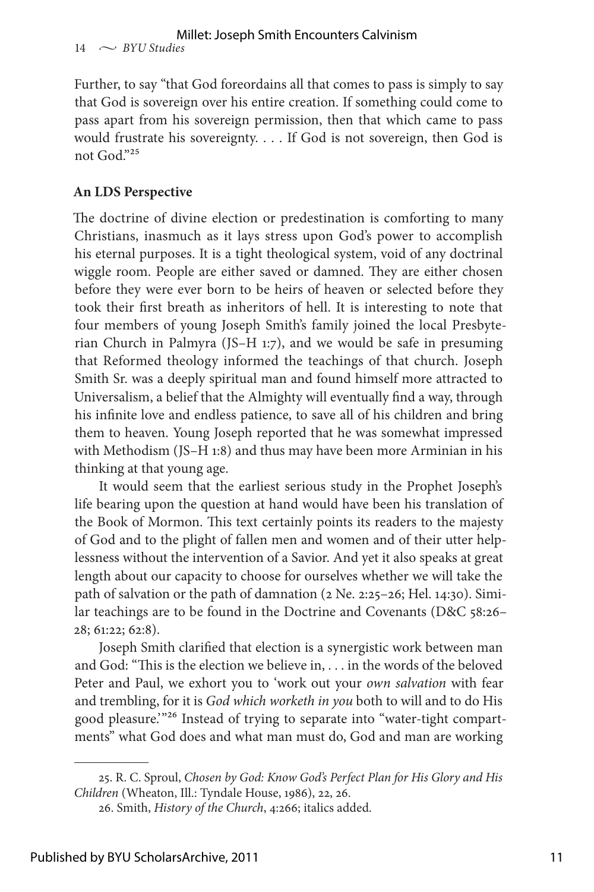Further, to say "that God foreordains all that comes to pass is simply to say that God is sovereign over his entire creation. If something could come to pass apart from his sovereign permission, then that which came to pass would frustrate his sovereignty. . . . If God is not sovereign, then God is not God."25

## **An LDS Perspective**

The doctrine of divine election or predestination is comforting to many Christians, inasmuch as it lays stress upon God's power to accomplish his eternal purposes. It is a tight theological system, void of any doctrinal wiggle room. People are either saved or damned. They are either chosen before they were ever born to be heirs of heaven or selected before they took their first breath as inheritors of hell. It is interesting to note that four members of young Joseph Smith's family joined the local Presbyterian Church in Palmyra (JS–H 1:7), and we would be safe in presuming that Reformed theology informed the teachings of that church. Joseph Smith Sr. was a deeply spiritual man and found himself more attracted to Universalism, a belief that the Almighty will eventually find a way, through his infinite love and endless patience, to save all of his children and bring them to heaven. Young Joseph reported that he was somewhat impressed with Methodism (JS–H 1:8) and thus may have been more Arminian in his thinking at that young age.

It would seem that the earliest serious study in the Prophet Joseph's life bearing upon the question at hand would have been his translation of the Book of Mormon. This text certainly points its readers to the majesty of God and to the plight of fallen men and women and of their utter helplessness without the intervention of a Savior. And yet it also speaks at great length about our capacity to choose for ourselves whether we will take the path of salvation or the path of damnation (2 Ne. 2:25–26; Hel. 14:30). Similar teachings are to be found in the Doctrine and Covenants (D&C 58:26– 28; 61:22; 62:8).

Joseph Smith clarified that election is a synergistic work between man and God: "This is the election we believe in, . . . in the words of the beloved Peter and Paul, we exhort you to 'work out your *own salvation* with fear and trembling, for it is *God which worketh in you* both to will and to do His good pleasure.'"26 Instead of trying to separate into "water-tight compartments" what God does and what man must do, God and man are working

<sup>25.</sup> R. C. Sproul, *Chosen by God: Know God's Perfect Plan for His Glory and His Children* (Wheaton, Ill.: Tyndale House, 1986), 22, 26.

<sup>26.</sup> Smith, *History of the Church*, 4:266; italics added.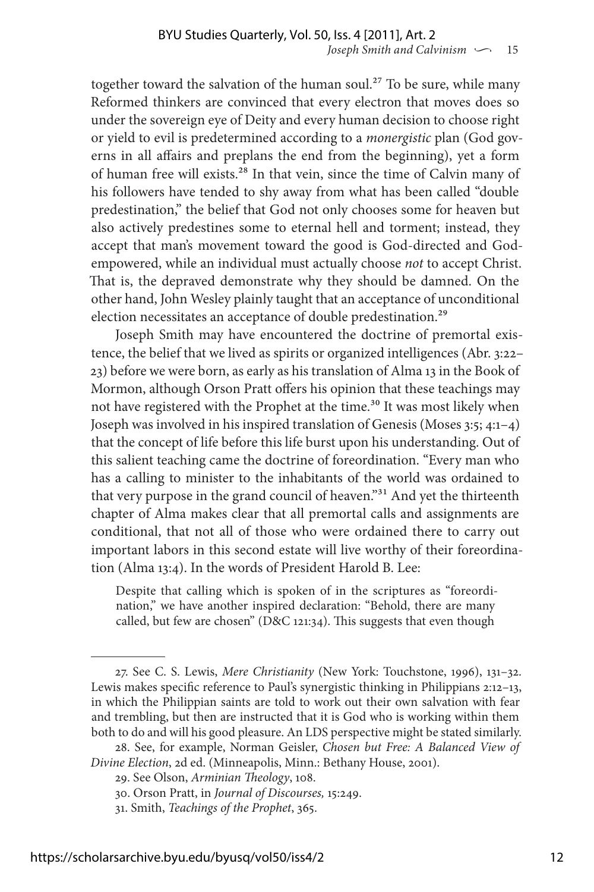together toward the salvation of the human soul.<sup>27</sup> To be sure, while many Reformed thinkers are convinced that every electron that moves does so under the sovereign eye of Deity and every human decision to choose right or yield to evil is predetermined according to a *monergistic* plan (God governs in all affairs and preplans the end from the beginning), yet a form of human free will exists.28 In that vein, since the time of Calvin many of his followers have tended to shy away from what has been called "double predestination," the belief that God not only chooses some for heaven but also actively predestines some to eternal hell and torment; instead, they accept that man's movement toward the good is God-directed and Godempowered, while an individual must actually choose *not* to accept Christ. That is, the depraved demonstrate why they should be damned. On the other hand, John Wesley plainly taught that an acceptance of unconditional election necessitates an acceptance of double predestination.<sup>29</sup>

Joseph Smith may have encountered the doctrine of premortal existence, the belief that we lived as spirits or organized intelligences (Abr. 3:22– 23) before we were born, as early as his translation of Alma 13 in the Book of Mormon, although Orson Pratt offers his opinion that these teachings may not have registered with the Prophet at the time.<sup>30</sup> It was most likely when Joseph was involved in his inspired translation of Genesis (Moses 3:5; 4:1–4) that the concept of life before this life burst upon his understanding. Out of this salient teaching came the doctrine of foreordination. "Every man who has a calling to minister to the inhabitants of the world was ordained to that very purpose in the grand council of heaven."<sup>31</sup> And yet the thirteenth chapter of Alma makes clear that all premortal calls and assignments are conditional, that not all of those who were ordained there to carry out important labors in this second estate will live worthy of their foreordination (Alma 13:4). In the words of President Harold B. Lee:

Despite that calling which is spoken of in the scriptures as "foreordination," we have another inspired declaration: "Behold, there are many called, but few are chosen" (D&C 121:34). This suggests that even though

<sup>27.</sup> See C. S. Lewis, *Mere Christianity* (New York: Touchstone, 1996), 131–32. Lewis makes specific reference to Paul's synergistic thinking in Philippians 2:12–13, in which the Philippian saints are told to work out their own salvation with fear and trembling, but then are instructed that it is God who is working within them both to do and will his good pleasure. An LDS perspective might be stated similarly.

<sup>28.</sup> See, for example, Norman Geisler, *Chosen but Free: A Balanced View of Divine Election*, 2d ed. (Minneapolis, Minn.: Bethany House, 2001).

<sup>29.</sup> See Olson, *Arminian Theology*, 108.

<sup>30.</sup> Orson Pratt, in *Journal of Discourses,* 15:249.

<sup>31.</sup> Smith, *Teachings of the Prophet*, 365.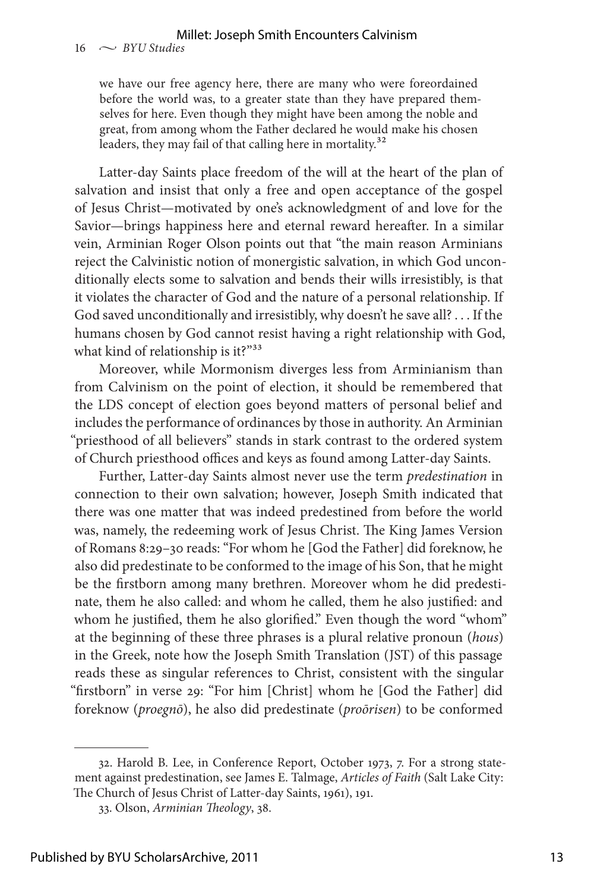$16 \sim$  *BYU Studies* 

we have our free agency here, there are many who were foreordained before the world was, to a greater state than they have prepared themselves for here. Even though they might have been among the noble and great, from among whom the Father declared he would make his chosen leaders, they may fail of that calling here in mortality.<sup>32</sup>

Latter-day Saints place freedom of the will at the heart of the plan of salvation and insist that only a free and open acceptance of the gospel of Jesus Christ—motivated by one's acknowledgment of and love for the Savior—brings happiness here and eternal reward hereafter. In a similar vein, Arminian Roger Olson points out that "the main reason Arminians reject the Calvinistic notion of monergistic salvation, in which God unconditionally elects some to salvation and bends their wills irresistibly, is that it violates the character of God and the nature of a personal relationship. If God saved unconditionally and irresistibly, why doesn't he save all? . . . If the humans chosen by God cannot resist having a right relationship with God, what kind of relationship is it?"<sup>33</sup>

Moreover, while Mormonism diverges less from Arminianism than from Calvinism on the point of election, it should be remembered that the LDS concept of election goes beyond matters of personal belief and includes the performance of ordinances by those in authority. An Arminian "priesthood of all believers" stands in stark contrast to the ordered system of Church priesthood offices and keys as found among Latter-day Saints.

Further, Latter-day Saints almost never use the term *predestination* in connection to their own salvation; however, Joseph Smith indicated that there was one matter that was indeed predestined from before the world was, namely, the redeeming work of Jesus Christ. The King James Version of Romans 8:29–30 reads: "For whom he [God the Father] did foreknow, he also did predestinate to be conformed to the image of his Son, that he might be the firstborn among many brethren. Moreover whom he did predestinate, them he also called: and whom he called, them he also justified: and whom he justified, them he also glorified." Even though the word "whom" at the beginning of these three phrases is a plural relative pronoun (*hous*) in the Greek, note how the Joseph Smith Translation (JST) of this passage reads these as singular references to Christ, consistent with the singular "firstborn" in verse 29: "For him [Christ] whom he [God the Father] did foreknow (*proegnō*), he also did predestinate (*proōrisen*) to be conformed

<sup>32.</sup> Harold B. Lee, in Conference Report, October 1973, 7. For a strong statement against predestination, see James E. Talmage, *Articles of Faith* (Salt Lake City: The Church of Jesus Christ of Latter-day Saints, 1961), 191.

<sup>33.</sup> Olson, *Arminian Theology*, 38.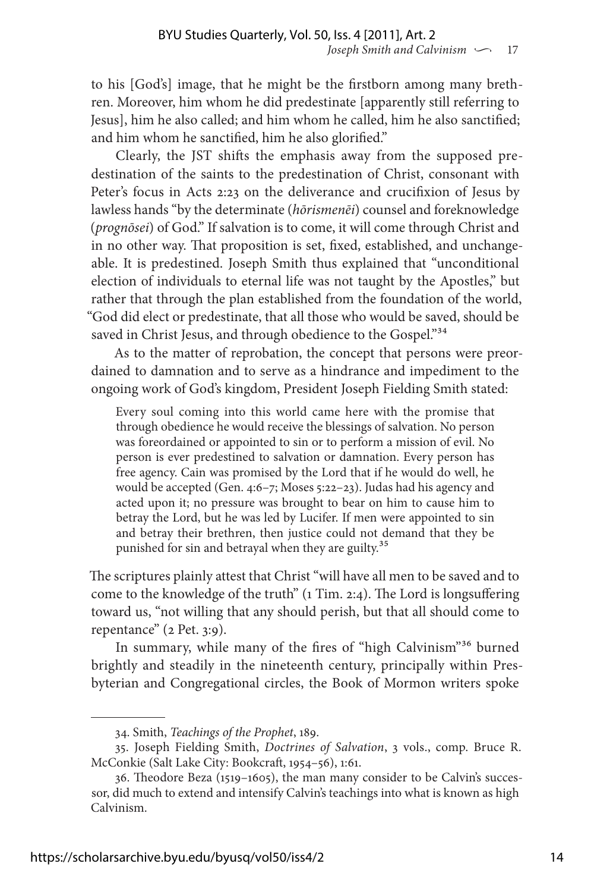to his [God's] image, that he might be the firstborn among many brethren. Moreover, him whom he did predestinate [apparently still referring to Jesus], him he also called; and him whom he called, him he also sanctified; and him whom he sanctified, him he also glorified."

Clearly, the JST shifts the emphasis away from the supposed predestination of the saints to the predestination of Christ, consonant with Peter's focus in Acts 2:23 on the deliverance and crucifixion of Jesus by lawless hands "by the determinate (*hōrismenēi*) counsel and foreknowledge (*prognōsei*) of God." If salvation is to come, it will come through Christ and in no other way. That proposition is set, fixed, established, and unchangeable. It is predestined. Joseph Smith thus explained that "unconditional election of individuals to eternal life was not taught by the Apostles," but rather that through the plan established from the foundation of the world, "God did elect or predestinate, that all those who would be saved, should be saved in Christ Jesus, and through obedience to the Gospel."34

As to the matter of reprobation, the concept that persons were preordained to damnation and to serve as a hindrance and impediment to the ongoing work of God's kingdom, President Joseph Fielding Smith stated:

Every soul coming into this world came here with the promise that through obedience he would receive the blessings of salvation. No person was foreordained or appointed to sin or to perform a mission of evil. No person is ever predestined to salvation or damnation. Every person has free agency. Cain was promised by the Lord that if he would do well, he would be accepted (Gen. 4:6–7; Moses 5:22–23). Judas had his agency and acted upon it; no pressure was brought to bear on him to cause him to betray the Lord, but he was led by Lucifer. If men were appointed to sin and betray their brethren, then justice could not demand that they be punished for sin and betrayal when they are guilty.<sup>35</sup>

The scriptures plainly attest that Christ "will have all men to be saved and to come to the knowledge of the truth" (1 Tim. 2:4). The Lord is longsuffering toward us, "not willing that any should perish, but that all should come to repentance" (2 Pet. 3:9).

In summary, while many of the fires of "high Calvinism"36 burned brightly and steadily in the nineteenth century, principally within Presbyterian and Congregational circles, the Book of Mormon writers spoke

<sup>34.</sup> Smith, *Teachings of the Prophet*, 189.

<sup>35.</sup> Joseph Fielding Smith, *Doctrines of Salvation*, 3 vols., comp. Bruce R. McConkie (Salt Lake City: Bookcraft, 1954–56), 1:61.

<sup>36.</sup> Theodore Beza (1519–1605), the man many consider to be Calvin's successor, did much to extend and intensify Calvin's teachings into what is known as high Calvinism.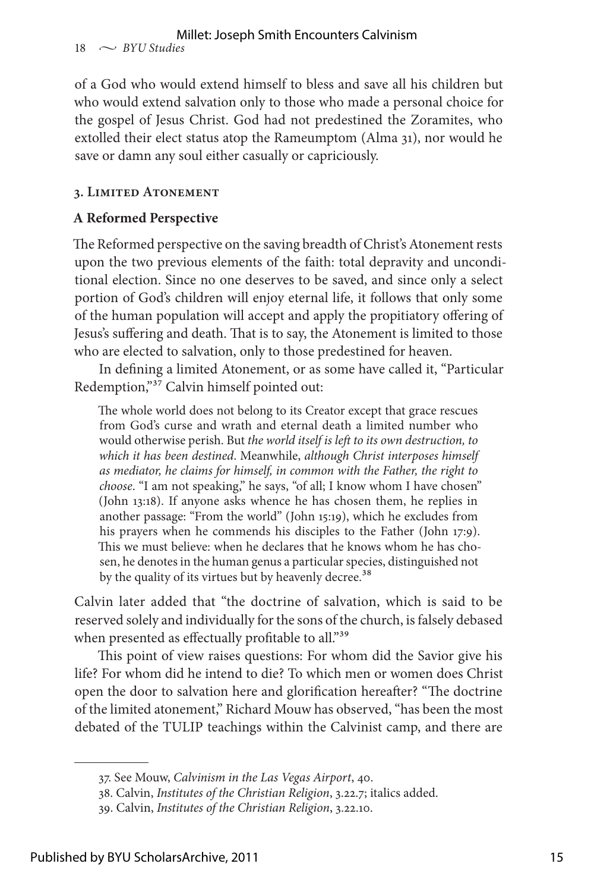18  $\sim$  BYU Studies

of a God who would extend himself to bless and save all his children but who would extend salvation only to those who made a personal choice for the gospel of Jesus Christ. God had not predestined the Zoramites, who extolled their elect status atop the Rameumptom (Alma 31), nor would he save or damn any soul either casually or capriciously.

# **3. Limited Atonement**

# **A Reformed Perspective**

The Reformed perspective on the saving breadth of Christ's Atonement rests upon the two previous elements of the faith: total depravity and unconditional election. Since no one deserves to be saved, and since only a select portion of God's children will enjoy eternal life, it follows that only some of the human population will accept and apply the propitiatory offering of Jesus's suffering and death. That is to say, the Atonement is limited to those who are elected to salvation, only to those predestined for heaven.

In defining a limited Atonement, or as some have called it, "Particular Redemption,"37 Calvin himself pointed out:

The whole world does not belong to its Creator except that grace rescues from God's curse and wrath and eternal death a limited number who would otherwise perish. But *the world itself is left to its own destruction, to which it has been destined*. Meanwhile, *although Christ interposes himself as mediator, he claims for himself, in common with the Father, the right to choose*. "I am not speaking," he says, "of all; I know whom I have chosen" (John 13:18). If anyone asks whence he has chosen them, he replies in another passage: "From the world" (John 15:19), which he excludes from his prayers when he commends his disciples to the Father (John 17:9). This we must believe: when he declares that he knows whom he has chosen, he denotes in the human genus a particular species, distinguished not by the quality of its virtues but by heavenly decree.<sup>38</sup>

Calvin later added that "the doctrine of salvation, which is said to be reserved solely and individually for the sons of the church, is falsely debased when presented as effectually profitable to all."39

This point of view raises questions: For whom did the Savior give his life? For whom did he intend to die? To which men or women does Christ open the door to salvation here and glorification hereafter? "The doctrine of the limited atonement," Richard Mouw has observed, "has been the most debated of the TULIP teachings within the Calvinist camp, and there are

<sup>37.</sup> See Mouw, *Calvinism in the Las Vegas Airport*, 40.

<sup>38.</sup> Calvin, *Institutes of the Christian Religion*, 3.22.7; italics added.

<sup>39.</sup> Calvin, *Institutes of the Christian Religion*, 3.22.10.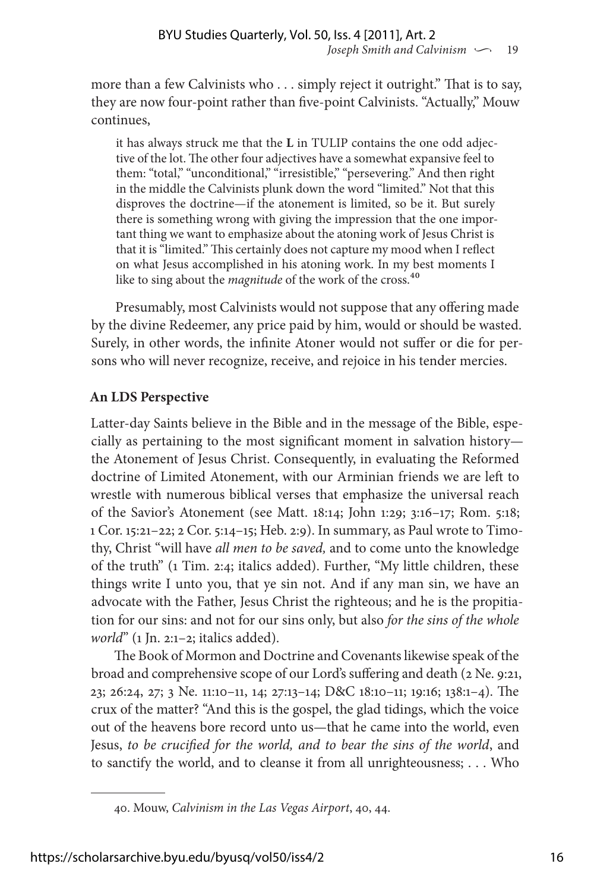more than a few Calvinists who . . . simply reject it outright." That is to say, they are now four-point rather than five-point Calvinists. "Actually," Mouw continues,

it has always struck me that the **L** in TULIP contains the one odd adjective of the lot. The other four adjectives have a somewhat expansive feel to them: "total," "unconditional," "irresistible," "persevering." And then right in the middle the Calvinists plunk down the word "limited." Not that this disproves the doctrine—if the atonement is limited, so be it. But surely there is something wrong with giving the impression that the one important thing we want to emphasize about the atoning work of Jesus Christ is that it is "limited." This certainly does not capture my mood when I reflect on what Jesus accomplished in his atoning work. In my best moments I like to sing about the *magnitude* of the work of the cross.<sup>40</sup>

Presumably, most Calvinists would not suppose that any offering made by the divine Redeemer, any price paid by him, would or should be wasted. Surely, in other words, the infinite Atoner would not suffer or die for persons who will never recognize, receive, and rejoice in his tender mercies.

## **An LDS Perspective**

Latter-day Saints believe in the Bible and in the message of the Bible, especially as pertaining to the most significant moment in salvation history the Atonement of Jesus Christ. Consequently, in evaluating the Reformed doctrine of Limited Atonement, with our Arminian friends we are left to wrestle with numerous biblical verses that emphasize the universal reach of the Savior's Atonement (see Matt. 18:14; John 1:29; 3:16–17; Rom. 5:18; 1 Cor. 15:21–22; 2 Cor. 5:14–15; Heb. 2:9). In summary, as Paul wrote to Timothy, Christ "will have *all men to be saved,* and to come unto the knowledge of the truth" (1 Tim. 2:4; italics added). Further, "My little children, these things write I unto you, that ye sin not. And if any man sin, we have an advocate with the Father, Jesus Christ the righteous; and he is the propitiation for our sins: and not for our sins only, but also *for the sins of the whole world*" (1 Jn. 2:1–2; italics added).

The Book of Mormon and Doctrine and Covenants likewise speak of the broad and comprehensive scope of our Lord's suffering and death (2 Ne. 9:21, 23; 26:24, 27; 3 Ne. 11:10–11, 14; 27:13–14; D&C 18:10–11; 19:16; 138:1–4). The crux of the matter? "And this is the gospel, the glad tidings, which the voice out of the heavens bore record unto us—that he came into the world, even Jesus, *to be crucified for the world, and to bear the sins of the world*, and to sanctify the world, and to cleanse it from all unrighteousness; . . . Who

<sup>40.</sup> Mouw, *Calvinism in the Las Vegas Airport*, 40, 44.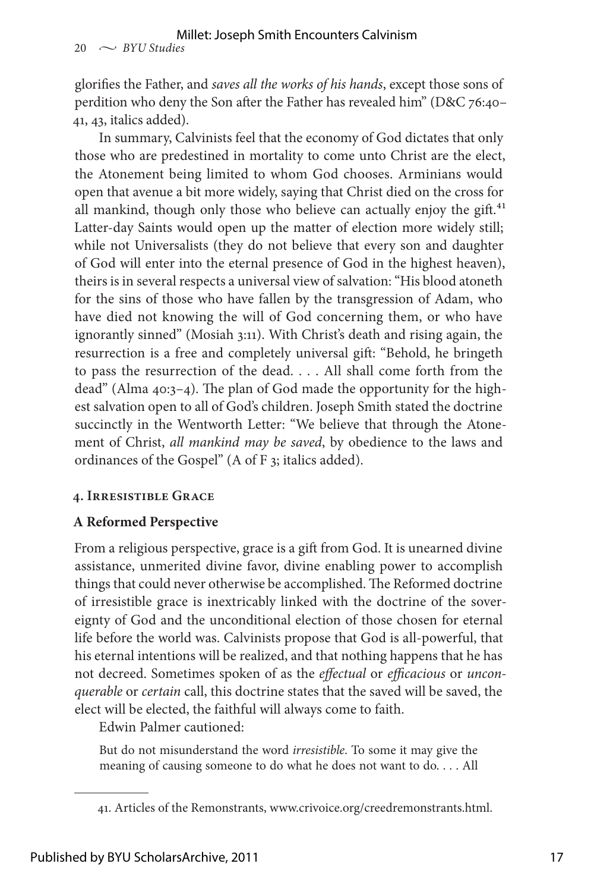glorifies the Father, and *saves all the works of his hands*, except those sons of perdition who deny the Son after the Father has revealed him" (D&C 76:40– 41, 43, italics added).

In summary, Calvinists feel that the economy of God dictates that only those who are predestined in mortality to come unto Christ are the elect, the Atonement being limited to whom God chooses. Arminians would open that avenue a bit more widely, saying that Christ died on the cross for all mankind, though only those who believe can actually enjoy the gift.<sup>41</sup> Latter-day Saints would open up the matter of election more widely still; while not Universalists (they do not believe that every son and daughter of God will enter into the eternal presence of God in the highest heaven), theirs is in several respects a universal view of salvation: "His blood atoneth for the sins of those who have fallen by the transgression of Adam, who have died not knowing the will of God concerning them, or who have ignorantly sinned" (Mosiah 3:11). With Christ's death and rising again, the resurrection is a free and completely universal gift: "Behold, he bringeth to pass the resurrection of the dead. . . . All shall come forth from the dead" (Alma 40:3–4). The plan of God made the opportunity for the highest salvation open to all of God's children. Joseph Smith stated the doctrine succinctly in the Wentworth Letter: "We believe that through the Atonement of Christ, *all mankind may be saved*, by obedience to the laws and ordinances of the Gospel" (A of F 3; italics added).

## **4. Irresistible Grace**

## **A Reformed Perspective**

From a religious perspective, grace is a gift from God. It is unearned divine assistance, unmerited divine favor, divine enabling power to accomplish things that could never otherwise be accomplished. The Reformed doctrine of irresistible grace is inextricably linked with the doctrine of the sovereignty of God and the unconditional election of those chosen for eternal life before the world was. Calvinists propose that God is all-powerful, that his eternal intentions will be realized, and that nothing happens that he has not decreed. Sometimes spoken of as the *effectual* or *efficacious* or *unconquerable* or *certain* call, this doctrine states that the saved will be saved, the elect will be elected, the faithful will always come to faith.

Edwin Palmer cautioned:

But do not misunderstand the word *irresistible*. To some it may give the meaning of causing someone to do what he does not want to do. . . . All

<sup>41.</sup> Articles of the Remonstrants, www.crivoice.org/creedremonstrants.html.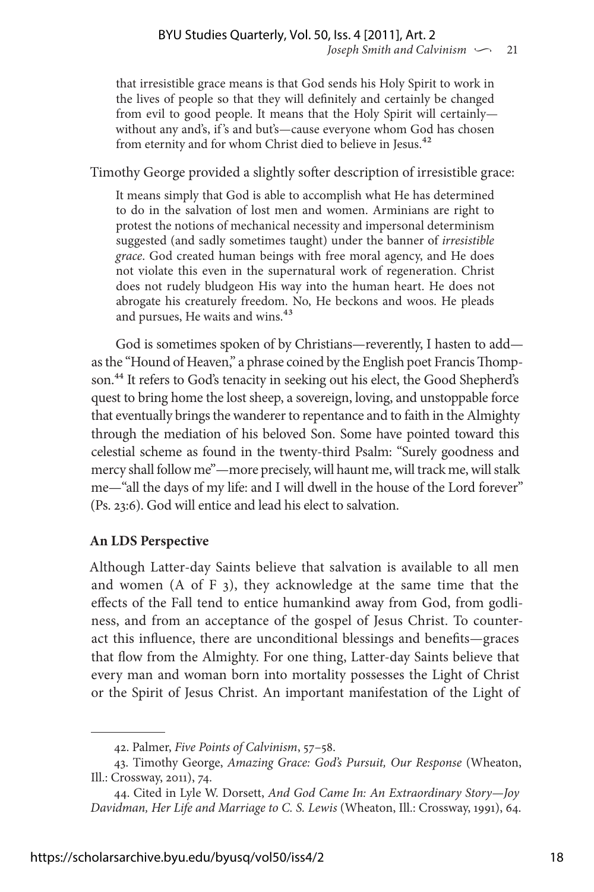that irresistible grace means is that God sends his Holy Spirit to work in the lives of people so that they will definitely and certainly be changed from evil to good people. It means that the Holy Spirit will certainly without any and's, if's and but's-cause everyone whom God has chosen from eternity and for whom Christ died to believe in Jesus.<sup>42</sup>

Timothy George provided a slightly softer description of irresistible grace:

It means simply that God is able to accomplish what He has determined to do in the salvation of lost men and women. Arminians are right to protest the notions of mechanical necessity and impersonal determinism suggested (and sadly sometimes taught) under the banner of *irresistible grace*. God created human beings with free moral agency, and He does not violate this even in the supernatural work of regeneration. Christ does not rudely bludgeon His way into the human heart. He does not abrogate his creaturely freedom. No, He beckons and woos. He pleads and pursues, He waits and wins.<sup>43</sup>

God is sometimes spoken of by Christians—reverently, I hasten to add as the "Hound of Heaven," a phrase coined by the English poet Francis Thompson.<sup>44</sup> It refers to God's tenacity in seeking out his elect, the Good Shepherd's quest to bring home the lost sheep, a sovereign, loving, and unstoppable force that eventually brings the wanderer to repentance and to faith in the Almighty through the mediation of his beloved Son. Some have pointed toward this celestial scheme as found in the twenty-third Psalm: "Surely goodness and mercy shall follow me"—more precisely, will haunt me, will track me, will stalk me—"all the days of my life: and I will dwell in the house of the Lord forever" (Ps. 23:6). God will entice and lead his elect to salvation.

#### **An LDS Perspective**

Although Latter-day Saints believe that salvation is available to all men and women (A of F 3), they acknowledge at the same time that the effects of the Fall tend to entice humankind away from God, from godliness, and from an acceptance of the gospel of Jesus Christ. To counteract this influence, there are unconditional blessings and benefits—graces that flow from the Almighty. For one thing, Latter-day Saints believe that every man and woman born into mortality possesses the Light of Christ or the Spirit of Jesus Christ. An important manifestation of the Light of

<sup>42.</sup> Palmer, *Five Points of Calvinism*, 57–58.

<sup>43.</sup> Timothy George, *Amazing Grace: God's Pursuit, Our Response* (Wheaton, Ill.: Crossway, 2011), 74.

<sup>44.</sup> Cited in Lyle W. Dorsett, *And God Came In: An Extraordinary Story—Joy Davidman, Her Life and Marriage to C. S. Lewis* (Wheaton, Ill.: Crossway, 1991), 64.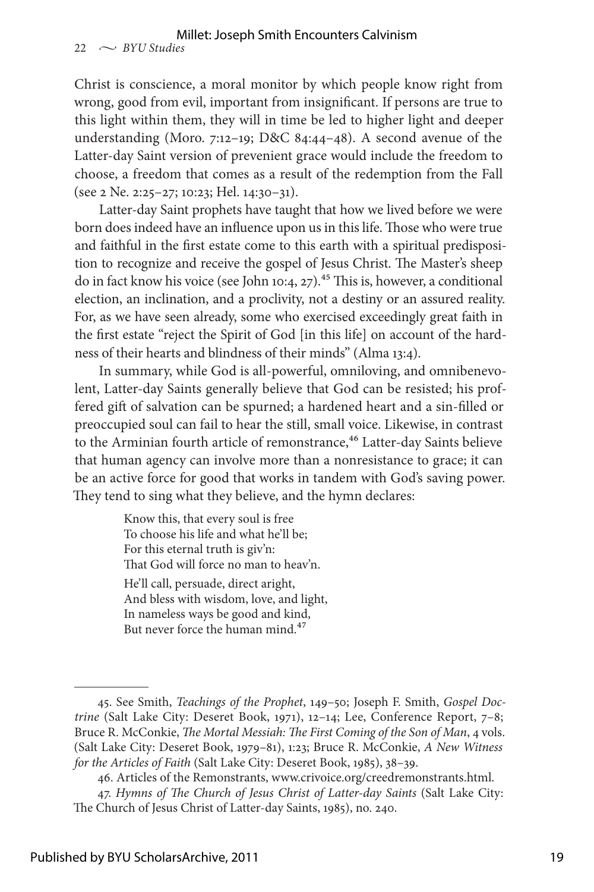$22 \sim$  *BYU Studies* 

Christ is conscience, a moral monitor by which people know right from wrong, good from evil, important from insignificant. If persons are true to this light within them, they will in time be led to higher light and deeper understanding (Moro. 7:12–19; D&C 84:44–48). A second avenue of the Latter-day Saint version of prevenient grace would include the freedom to choose, a freedom that comes as a result of the redemption from the Fall (see 2 Ne. 2:25–27; 10:23; Hel. 14:30–31).

Latter-day Saint prophets have taught that how we lived before we were born does indeed have an influence upon us in this life. Those who were true and faithful in the first estate come to this earth with a spiritual predisposition to recognize and receive the gospel of Jesus Christ. The Master's sheep do in fact know his voice (see John 10:4, 27).<sup>45</sup> This is, however, a conditional election, an inclination, and a proclivity, not a destiny or an assured reality. For, as we have seen already, some who exercised exceedingly great faith in the first estate "reject the Spirit of God [in this life] on account of the hardness of their hearts and blindness of their minds" (Alma 13:4).

In summary, while God is all-powerful, omniloving, and omnibenevolent, Latter-day Saints generally believe that God can be resisted; his proffered gift of salvation can be spurned; a hardened heart and a sin-filled or preoccupied soul can fail to hear the still, small voice. Likewise, in contrast to the Arminian fourth article of remonstrance,<sup>46</sup> Latter-day Saints believe that human agency can involve more than a nonresistance to grace; it can be an active force for good that works in tandem with God's saving power. They tend to sing what they believe, and the hymn declares:

> Know this, that every soul is free To choose his life and what he'll be; For this eternal truth is giv'n: That God will force no man to heav'n. He'll call, persuade, direct aright, And bless with wisdom, love, and light, In nameless ways be good and kind, But never force the human mind.<sup>47</sup>

<sup>45.</sup> See Smith, *Teachings of the Prophet*, 149–50; Joseph F. Smith, *Gospel Doctrine* (Salt Lake City: Deseret Book, 1971), 12–14; Lee, Conference Report, 7–8; Bruce R. McConkie, *The Mortal Messiah: The First Coming of the Son of Man*, 4 vols. (Salt Lake City: Deseret Book, 1979–81), 1:23; Bruce R. McConkie, *A New Witness for the Articles of Faith* (Salt Lake City: Deseret Book, 1985), 38–39.

<sup>46.</sup> Articles of the Remonstrants, www.crivoice.org/creedremonstrants.html.

<sup>47.</sup> *Hymns of The Church of Jesus Christ of Latter-day Saints* (Salt Lake City: The Church of Jesus Christ of Latter-day Saints, 1985), no. 240.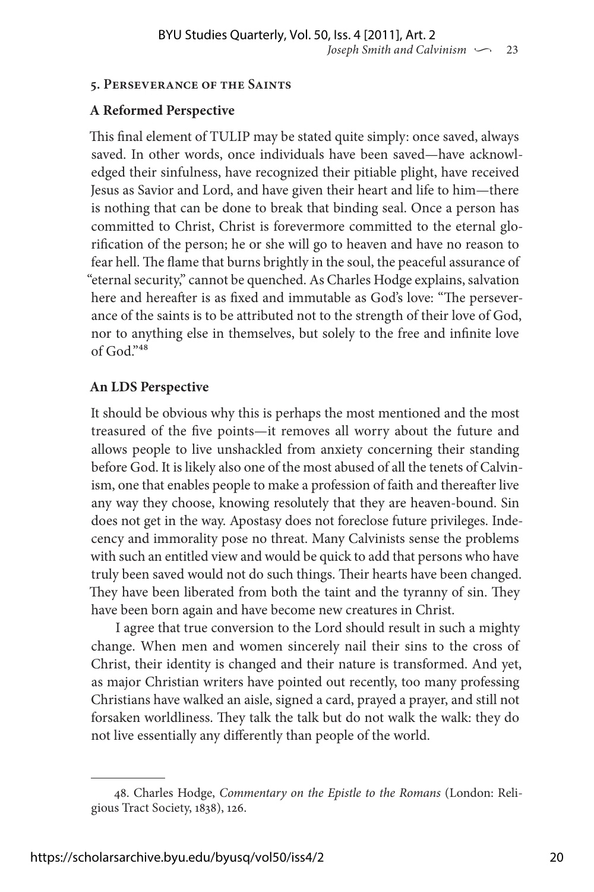#### **5. Perseverance of the Saints**

## **A Reformed Perspective**

This final element of TULIP may be stated quite simply: once saved, always saved. In other words, once individuals have been saved—have acknowledged their sinfulness, have recognized their pitiable plight, have received Jesus as Savior and Lord, and have given their heart and life to him—there is nothing that can be done to break that binding seal. Once a person has committed to Christ, Christ is forevermore committed to the eternal glorification of the person; he or she will go to heaven and have no reason to fear hell. The flame that burns brightly in the soul, the peaceful assurance of "eternal security," cannot be quenched. As Charles Hodge explains, salvation here and hereafter is as fixed and immutable as God's love: "The perseverance of the saints is to be attributed not to the strength of their love of God, nor to anything else in themselves, but solely to the free and infinite love of God."48

## **An LDS Perspective**

It should be obvious why this is perhaps the most mentioned and the most treasured of the five points—it removes all worry about the future and allows people to live unshackled from anxiety concerning their standing before God. It is likely also one of the most abused of all the tenets of Calvinism, one that enables people to make a profession of faith and thereafter live any way they choose, knowing resolutely that they are heaven-bound. Sin does not get in the way. Apostasy does not foreclose future privileges. Indecency and immorality pose no threat. Many Calvinists sense the problems with such an entitled view and would be quick to add that persons who have truly been saved would not do such things. Their hearts have been changed. They have been liberated from both the taint and the tyranny of sin. They have been born again and have become new creatures in Christ.

I agree that true conversion to the Lord should result in such a mighty change. When men and women sincerely nail their sins to the cross of Christ, their identity is changed and their nature is transformed. And yet, as major Christian writers have pointed out recently, too many professing Christians have walked an aisle, signed a card, prayed a prayer, and still not forsaken worldliness. They talk the talk but do not walk the walk: they do not live essentially any differently than people of the world.

<sup>48.</sup> Charles Hodge, *Commentary on the Epistle to the Romans* (London: Religious Tract Society, 1838), 126.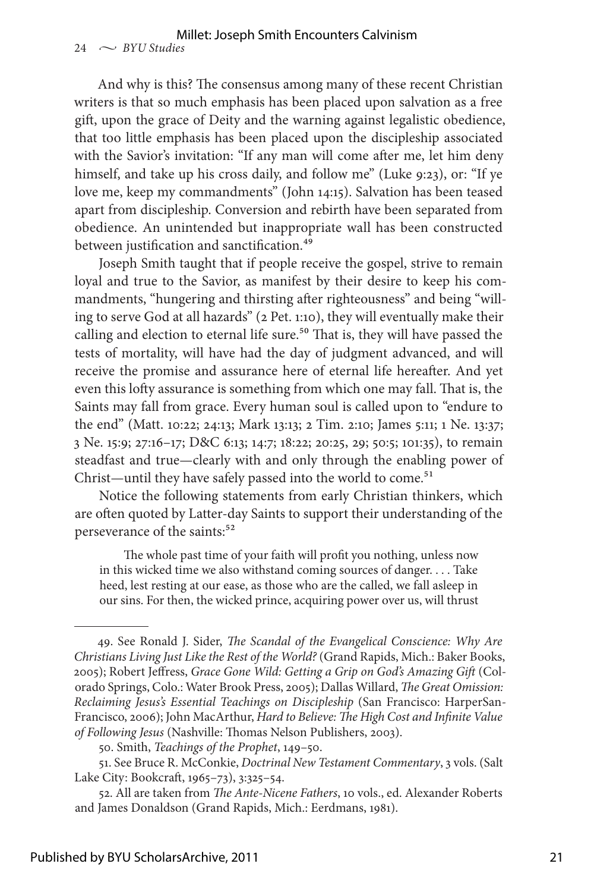$24 \sim$  *BYU Studies* 

And why is this? The consensus among many of these recent Christian writers is that so much emphasis has been placed upon salvation as a free gift, upon the grace of Deity and the warning against legalistic obedience, that too little emphasis has been placed upon the discipleship associated with the Savior's invitation: "If any man will come after me, let him deny himself, and take up his cross daily, and follow me" (Luke 9:23), or: "If ye love me, keep my commandments" (John 14:15). Salvation has been teased apart from discipleship. Conversion and rebirth have been separated from obedience. An unintended but inappropriate wall has been constructed between justification and sanctification.<sup>49</sup>

Joseph Smith taught that if people receive the gospel, strive to remain loyal and true to the Savior, as manifest by their desire to keep his commandments, "hungering and thirsting after righteousness" and being "willing to serve God at all hazards" (2 Pet. 1:10), they will eventually make their calling and election to eternal life sure.<sup>50</sup> That is, they will have passed the tests of mortality, will have had the day of judgment advanced, and will receive the promise and assurance here of eternal life hereafter. And yet even this lofty assurance is something from which one may fall. That is, the Saints may fall from grace. Every human soul is called upon to "endure to the end" (Matt. 10:22; 24:13; Mark 13:13; 2 Tim. 2:10; James 5:11; 1 Ne. 13:37; 3 Ne. 15:9; 27:16–17; D&C 6:13; 14:7; 18:22; 20:25, 29; 50:5; 101:35), to remain steadfast and true—clearly with and only through the enabling power of Christ—until they have safely passed into the world to come.<sup>51</sup>

Notice the following statements from early Christian thinkers, which are often quoted by Latter-day Saints to support their understanding of the perseverance of the saints:<sup>52</sup>

The whole past time of your faith will profit you nothing, unless now in this wicked time we also withstand coming sources of danger. . . . Take heed, lest resting at our ease, as those who are the called, we fall asleep in our sins. For then, the wicked prince, acquiring power over us, will thrust

<sup>49.</sup> See Ronald J. Sider, *The Scandal of the Evangelical Conscience: Why Are Christians Living Just Like the Rest of the World?* (Grand Rapids, Mich.: Baker Books, 2005); Robert Jeffress, *Grace Gone Wild: Getting a Grip on God's Amazing Gift* (Colorado Springs, Colo.: Water Brook Press, 2005); Dallas Willard, *The Great Omission: Reclaiming Jesus's Essential Teachings on Discipleship* (San Francisco: HarperSan-Francisco, 2006); John MacArthur, *Hard to Believe: The High Cost and Infinite Value of Following Jesus* (Nashville: Thomas Nelson Publishers, 2003).

<sup>50.</sup> Smith, *Teachings of the Prophet*, 149–50.

<sup>51.</sup> See Bruce R. McConkie, *Doctrinal New Testament Commentary*, 3 vols. (Salt Lake City: Bookcraft, 1965–73), 3:325–54.

<sup>52.</sup> All are taken from *The Ante-Nicene Fathers*, 10 vols., ed. Alexander Roberts and James Donaldson (Grand Rapids, Mich.: Eerdmans, 1981).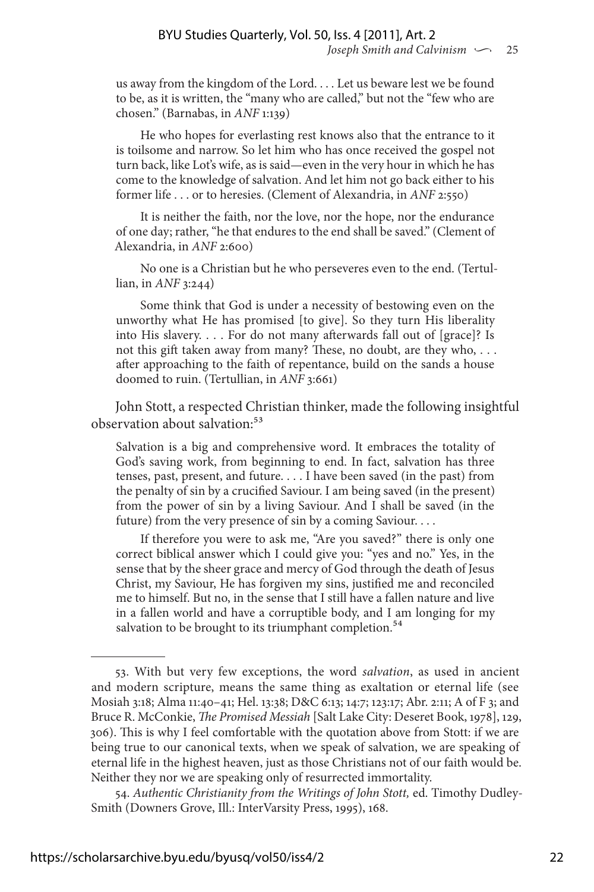us away from the kingdom of the Lord. . . . Let us beware lest we be found to be, as it is written, the "many who are called," but not the "few who are chosen." (Barnabas, in *ANF* 1:139)

He who hopes for everlasting rest knows also that the entrance to it is toilsome and narrow. So let him who has once received the gospel not turn back, like Lot's wife, as is said—even in the very hour in which he has come to the knowledge of salvation. And let him not go back either to his former life . . . or to heresies. (Clement of Alexandria, in *ANF* 2:550)

It is neither the faith, nor the love, nor the hope, nor the endurance of one day; rather, "he that endures to the end shall be saved." (Clement of Alexandria, in *ANF* 2:600)

No one is a Christian but he who perseveres even to the end. (Tertullian, in *ANF* 3:244)

Some think that God is under a necessity of bestowing even on the unworthy what He has promised [to give]. So they turn His liberality into His slavery. . . . For do not many afterwards fall out of [grace]? Is not this gift taken away from many? These, no doubt, are they who, . . . after approaching to the faith of repentance, build on the sands a house doomed to ruin. (Tertullian, in *ANF* 3:661)

John Stott, a respected Christian thinker, made the following insightful observation about salvation:<sup>53</sup>

Salvation is a big and comprehensive word. It embraces the totality of God's saving work, from beginning to end. In fact, salvation has three tenses, past, present, and future. . . . I have been saved (in the past) from the penalty of sin by a crucified Saviour. I am being saved (in the present) from the power of sin by a living Saviour. And I shall be saved (in the future) from the very presence of sin by a coming Saviour. . . .

If therefore you were to ask me, "Are you saved?" there is only one correct biblical answer which I could give you: "yes and no." Yes, in the sense that by the sheer grace and mercy of God through the death of Jesus Christ, my Saviour, He has forgiven my sins, justified me and reconciled me to himself. But no, in the sense that I still have a fallen nature and live in a fallen world and have a corruptible body, and I am longing for my salvation to be brought to its triumphant completion.<sup>54</sup>

<sup>53.</sup> With but very few exceptions, the word *salvation*, as used in ancient and modern scripture, means the same thing as exaltation or eternal life (see Mosiah 3:18; Alma 11:40–41; Hel. 13:38; D&C 6:13; 14:7; 123:17; Abr. 2:11; A of F 3; and Bruce R. McConkie, *The Promised Messiah* [Salt Lake City: Deseret Book, 1978], 129, 306). This is why I feel comfortable with the quotation above from Stott: if we are being true to our canonical texts, when we speak of salvation, we are speaking of eternal life in the highest heaven, just as those Christians not of our faith would be. Neither they nor we are speaking only of resurrected immortality.

<sup>54.</sup> *Authentic Christianity from the Writings of John Stott,* ed. Timothy Dudley-Smith (Downers Grove, Ill.: InterVarsity Press, 1995), 168.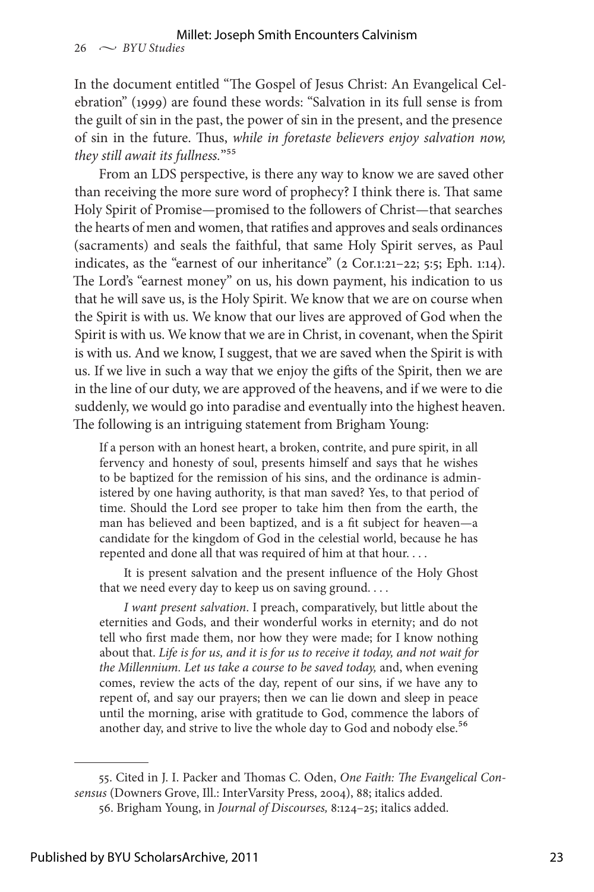$26 \sim$  *BYU Studies* 

In the document entitled "The Gospel of Jesus Christ: An Evangelical Celebration" (1999) are found these words: "Salvation in its full sense is from the guilt of sin in the past, the power of sin in the present, and the presence of sin in the future. Thus, *while in foretaste believers enjoy salvation now, they still await its fullness.*"55

From an LDS perspective, is there any way to know we are saved other than receiving the more sure word of prophecy? I think there is. That same Holy Spirit of Promise—promised to the followers of Christ—that searches the hearts of men and women, that ratifies and approves and seals ordinances (sacraments) and seals the faithful, that same Holy Spirit serves, as Paul indicates, as the "earnest of our inheritance" (2 Cor.1:21–22; 5:5; Eph. 1:14). The Lord's "earnest money" on us, his down payment, his indication to us that he will save us, is the Holy Spirit. We know that we are on course when the Spirit is with us. We know that our lives are approved of God when the Spirit is with us. We know that we are in Christ, in covenant, when the Spirit is with us. And we know, I suggest, that we are saved when the Spirit is with us. If we live in such a way that we enjoy the gifts of the Spirit, then we are in the line of our duty, we are approved of the heavens, and if we were to die suddenly, we would go into paradise and eventually into the highest heaven. The following is an intriguing statement from Brigham Young:

If a person with an honest heart, a broken, contrite, and pure spirit, in all fervency and honesty of soul, presents himself and says that he wishes to be baptized for the remission of his sins, and the ordinance is administered by one having authority, is that man saved? Yes, to that period of time. Should the Lord see proper to take him then from the earth, the man has believed and been baptized, and is a fit subject for heaven—a candidate for the kingdom of God in the celestial world, because he has repented and done all that was required of him at that hour. . . .

It is present salvation and the present influence of the Holy Ghost that we need every day to keep us on saving ground. . . .

*I want present salvation*. I preach, comparatively, but little about the eternities and Gods, and their wonderful works in eternity; and do not tell who first made them, nor how they were made; for I know nothing about that. *Life is for us, and it is for us to receive it today, and not wait for the Millennium. Let us take a course to be saved today,* and, when evening comes, review the acts of the day, repent of our sins, if we have any to repent of, and say our prayers; then we can lie down and sleep in peace until the morning, arise with gratitude to God, commence the labors of another day, and strive to live the whole day to God and nobody else.<sup>56</sup>

<sup>55.</sup> Cited in J. I. Packer and Thomas C. Oden, *One Faith: The Evangelical Consensus* (Downers Grove, Ill.: InterVarsity Press, 2004), 88; italics added. 56. Brigham Young, in *Journal of Discourses,* 8:124–25; italics added.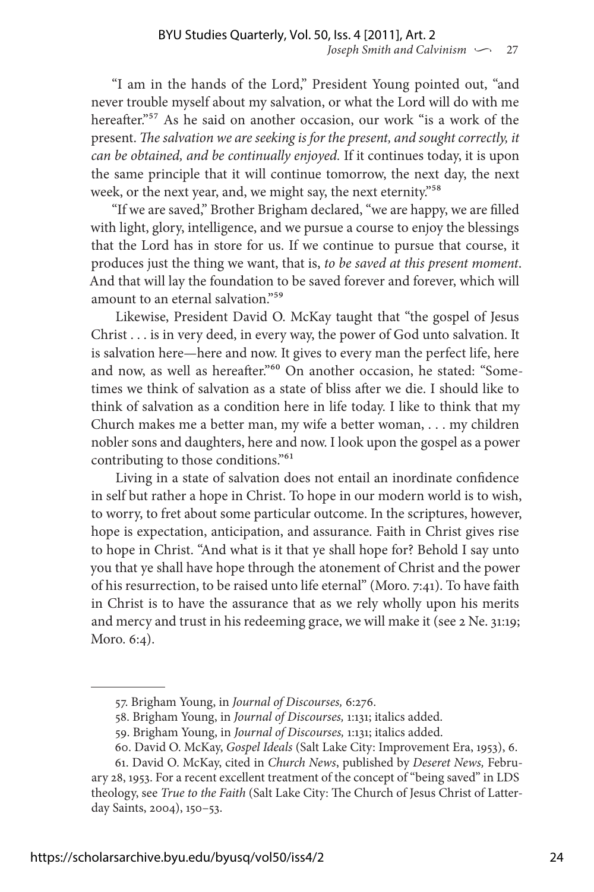"I am in the hands of the Lord," President Young pointed out, "and never trouble myself about my salvation, or what the Lord will do with me hereafter.<sup>"57</sup> As he said on another occasion, our work "is a work of the present. *The salvation we are seeking is for the present, and sought correctly, it can be obtained, and be continually enjoyed.* If it continues today, it is upon the same principle that it will continue tomorrow, the next day, the next week, or the next year, and, we might say, the next eternity."<sup>58</sup>

"If we are saved," Brother Brigham declared, "we are happy, we are filled with light, glory, intelligence, and we pursue a course to enjoy the blessings that the Lord has in store for us. If we continue to pursue that course, it produces just the thing we want, that is, *to be saved at this present moment*. And that will lay the foundation to be saved forever and forever, which will amount to an eternal salvation."59

Likewise, President David O. McKay taught that "the gospel of Jesus Christ . . . is in very deed, in every way, the power of God unto salvation. It is salvation here—here and now. It gives to every man the perfect life, here and now, as well as hereafter."60 On another occasion, he stated: "Sometimes we think of salvation as a state of bliss after we die. I should like to think of salvation as a condition here in life today. I like to think that my Church makes me a better man, my wife a better woman, . . . my children nobler sons and daughters, here and now. I look upon the gospel as a power contributing to those conditions."61

Living in a state of salvation does not entail an inordinate confidence in self but rather a hope in Christ. To hope in our modern world is to wish, to worry, to fret about some particular outcome. In the scriptures, however, hope is expectation, anticipation, and assurance. Faith in Christ gives rise to hope in Christ. "And what is it that ye shall hope for? Behold I say unto you that ye shall have hope through the atonement of Christ and the power of his resurrection, to be raised unto life eternal" (Moro. 7:41). To have faith in Christ is to have the assurance that as we rely wholly upon his merits and mercy and trust in his redeeming grace, we will make it (see 2 Ne. 31:19; Moro. 6:4).

<sup>57.</sup> Brigham Young, in *Journal of Discourses,* 6:276.

<sup>58.</sup> Brigham Young, in *Journal of Discourses,* 1:131; italics added.

<sup>59.</sup> Brigham Young, in *Journal of Discourses,* 1:131; italics added.

<sup>60.</sup> David O. McKay, *Gospel Ideals* (Salt Lake City: Improvement Era, 1953), 6.

<sup>61.</sup> David O. McKay, cited in *Church News*, published by *Deseret News,* February 28, 1953. For a recent excellent treatment of the concept of "being saved" in LDS theology, see *True to the Faith* (Salt Lake City: The Church of Jesus Christ of Latterday Saints, 2004), 150–53.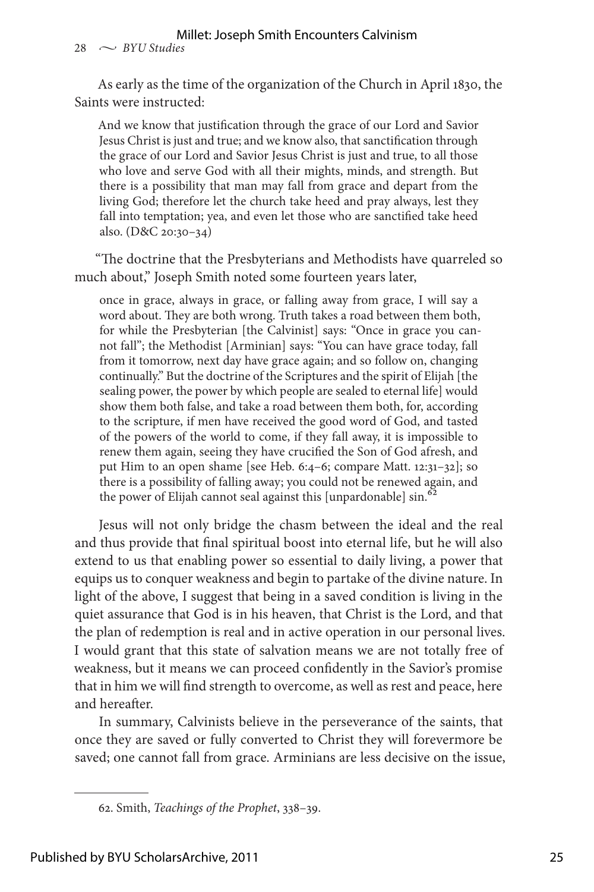$28 \sim$  *BYU Studies* 

As early as the time of the organization of the Church in April 1830, the Saints were instructed:

And we know that justification through the grace of our Lord and Savior Jesus Christ is just and true; and we know also, that sanctification through the grace of our Lord and Savior Jesus Christ is just and true, to all those who love and serve God with all their mights, minds, and strength. But there is a possibility that man may fall from grace and depart from the living God; therefore let the church take heed and pray always, lest they fall into temptation; yea, and even let those who are sanctified take heed also. (D&C 20:30–34)

"The doctrine that the Presbyterians and Methodists have quarreled so much about," Joseph Smith noted some fourteen years later,

once in grace, always in grace, or falling away from grace, I will say a word about. They are both wrong. Truth takes a road between them both, for while the Presbyterian [the Calvinist] says: "Once in grace you cannot fall"; the Methodist [Arminian] says: "You can have grace today, fall from it tomorrow, next day have grace again; and so follow on, changing continually." But the doctrine of the Scriptures and the spirit of Elijah [the sealing power, the power by which people are sealed to eternal life] would show them both false, and take a road between them both, for, according to the scripture, if men have received the good word of God, and tasted of the powers of the world to come, if they fall away, it is impossible to renew them again, seeing they have crucified the Son of God afresh, and put Him to an open shame [see Heb. 6:4–6; compare Matt. 12:31–32]; so there is a possibility of falling away; you could not be renewed again, and the power of Elijah cannot seal against this [unpardonable] sin.<sup>62</sup>

Jesus will not only bridge the chasm between the ideal and the real and thus provide that final spiritual boost into eternal life, but he will also extend to us that enabling power so essential to daily living, a power that equips us to conquer weakness and begin to partake of the divine nature. In light of the above, I suggest that being in a saved condition is living in the quiet assurance that God is in his heaven, that Christ is the Lord, and that the plan of redemption is real and in active operation in our personal lives. I would grant that this state of salvation means we are not totally free of weakness, but it means we can proceed confidently in the Savior's promise that in him we will find strength to overcome, as well as rest and peace, here and hereafter.

In summary, Calvinists believe in the perseverance of the saints, that once they are saved or fully converted to Christ they will forevermore be saved; one cannot fall from grace. Arminians are less decisive on the issue,

<sup>62.</sup> Smith, *Teachings of the Prophet*, 338–39.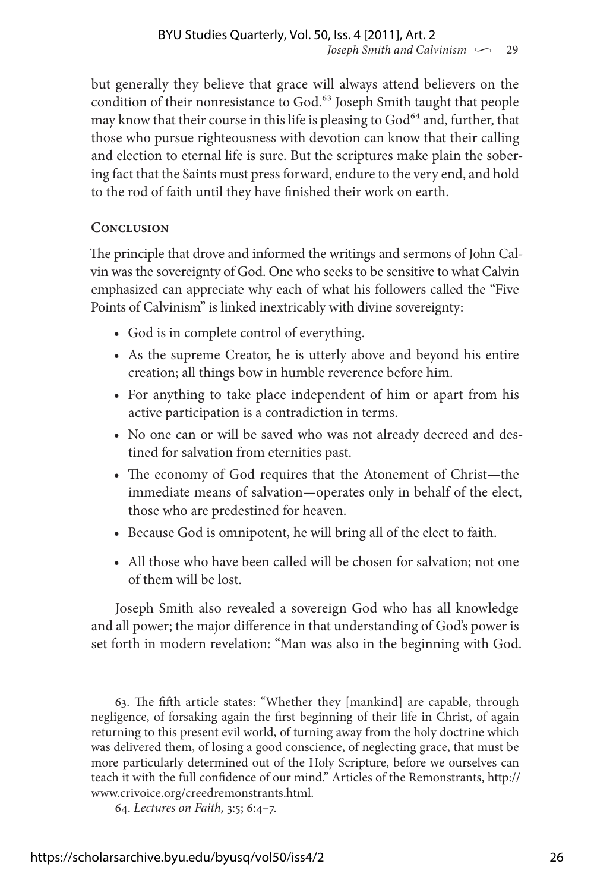but generally they believe that grace will always attend believers on the condition of their nonresistance to God.<sup>63</sup> Joseph Smith taught that people may know that their course in this life is pleasing to God<sup>64</sup> and, further, that those who pursue righteousness with devotion can know that their calling and election to eternal life is sure. But the scriptures make plain the sobering fact that the Saints must press forward, endure to the very end, and hold to the rod of faith until they have finished their work on earth.

## **Conclusion**

The principle that drove and informed the writings and sermons of John Calvin was the sovereignty of God. One who seeks to be sensitive to what Calvin emphasized can appreciate why each of what his followers called the "Five Points of Calvinism" is linked inextricably with divine sovereignty:

- God is in complete control of everything.
- As the supreme Creator, he is utterly above and beyond his entire creation; all things bow in humble reverence before him.
- For anything to take place independent of him or apart from his active participation is a contradiction in terms.
- No one can or will be saved who was not already decreed and destined for salvation from eternities past.
- The economy of God requires that the Atonement of Christ—the immediate means of salvation—operates only in behalf of the elect, those who are predestined for heaven.
- Because God is omnipotent, he will bring all of the elect to faith.
- All those who have been called will be chosen for salvation; not one of them will be lost.

Joseph Smith also revealed a sovereign God who has all knowledge and all power; the major difference in that understanding of God's power is set forth in modern revelation: "Man was also in the beginning with God.

<sup>63.</sup> The fifth article states: "Whether they [mankind] are capable, through negligence, of forsaking again the first beginning of their life in Christ, of again returning to this present evil world, of turning away from the holy doctrine which was delivered them, of losing a good conscience, of neglecting grace, that must be more particularly determined out of the Holy Scripture, before we ourselves can teach it with the full confidence of our mind." Articles of the Remonstrants, http:// www.crivoice.org/creedremonstrants.html.

<sup>64.</sup> *Lectures on Faith,* 3:5; 6:4–7.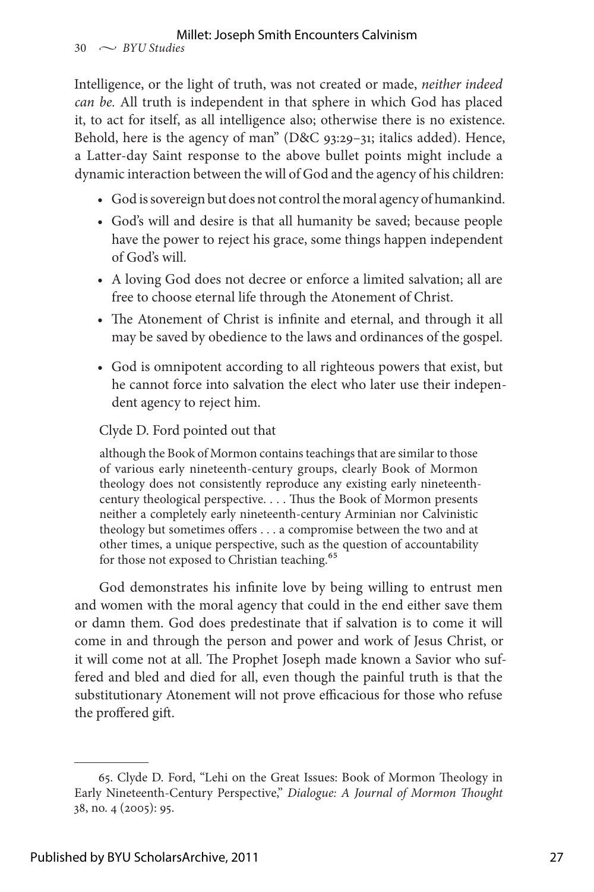$30 \sim$  *BYU Studies* 

Intelligence, or the light of truth, was not created or made, *neither indeed can be.* All truth is independent in that sphere in which God has placed it, to act for itself, as all intelligence also; otherwise there is no existence. Behold, here is the agency of man" (D&C 93:29–31; italics added). Hence, a Latter-day Saint response to the above bullet points might include a dynamic interaction between the will of God and the agency of his children:

- God is sovereign but does not control the moral agency of humankind.
- God's will and desire is that all humanity be saved; because people have the power to reject his grace, some things happen independent of God's will.
- A loving God does not decree or enforce a limited salvation; all are free to choose eternal life through the Atonement of Christ.
- The Atonement of Christ is infinite and eternal, and through it all may be saved by obedience to the laws and ordinances of the gospel.
- God is omnipotent according to all righteous powers that exist, but he cannot force into salvation the elect who later use their independent agency to reject him.

# Clyde D. Ford pointed out that

although the Book of Mormon contains teachings that are similar to those of various early nineteenth-century groups, clearly Book of Mormon theology does not consistently reproduce any existing early nineteenthcentury theological perspective. . . . Thus the Book of Mormon presents neither a completely early nineteenth-century Arminian nor Calvinistic theology but sometimes offers . . . a compromise between the two and at other times, a unique perspective, such as the question of accountability for those not exposed to Christian teaching.<sup>65</sup>

God demonstrates his infinite love by being willing to entrust men and women with the moral agency that could in the end either save them or damn them. God does predestinate that if salvation is to come it will come in and through the person and power and work of Jesus Christ, or it will come not at all. The Prophet Joseph made known a Savior who suffered and bled and died for all, even though the painful truth is that the substitutionary Atonement will not prove efficacious for those who refuse the proffered gift.

<sup>65.</sup> Clyde D. Ford, "Lehi on the Great Issues: Book of Mormon Theology in Early Nineteenth-Century Perspective," *Dialogue: A Journal of Mormon Thought* 38, no. 4 (2005): 95.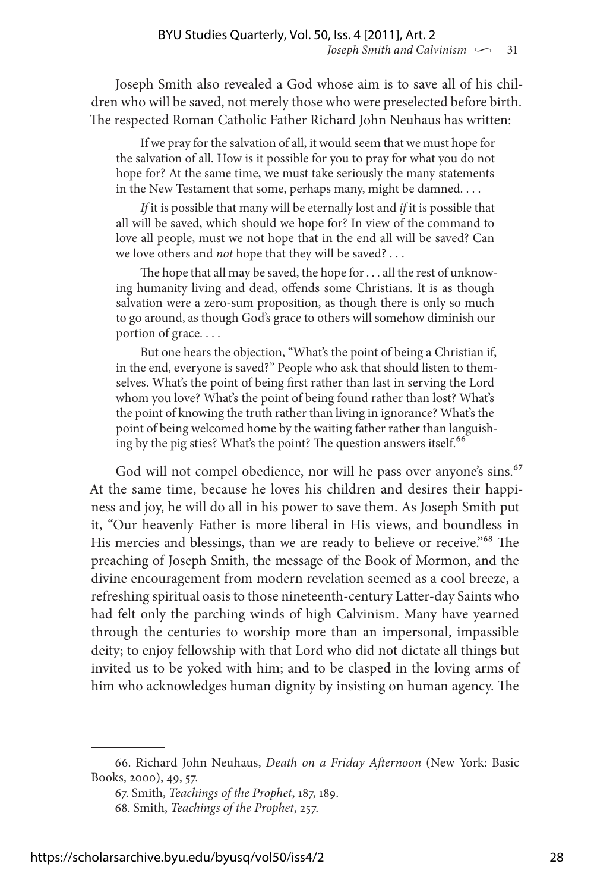Joseph Smith also revealed a God whose aim is to save all of his children who will be saved, not merely those who were preselected before birth. The respected Roman Catholic Father Richard John Neuhaus has written:

If we pray for the salvation of all, it would seem that we must hope for the salvation of all. How is it possible for you to pray for what you do not hope for? At the same time, we must take seriously the many statements in the New Testament that some, perhaps many, might be damned. . . .

*If* it is possible that many will be eternally lost and *if* it is possible that all will be saved, which should we hope for? In view of the command to love all people, must we not hope that in the end all will be saved? Can we love others and *not* hope that they will be saved? . . .

The hope that all may be saved, the hope for . . . all the rest of unknowing humanity living and dead, offends some Christians. It is as though salvation were a zero-sum proposition, as though there is only so much to go around, as though God's grace to others will somehow diminish our portion of grace. . . .

But one hears the objection, "What's the point of being a Christian if, in the end, everyone is saved?" People who ask that should listen to themselves. What's the point of being first rather than last in serving the Lord whom you love? What's the point of being found rather than lost? What's the point of knowing the truth rather than living in ignorance? What's the point of being welcomed home by the waiting father rather than languishing by the pig sties? What's the point? The question answers itself.<sup>66</sup>

God will not compel obedience, nor will he pass over anyone's sins.<sup>67</sup> At the same time, because he loves his children and desires their happiness and joy, he will do all in his power to save them. As Joseph Smith put it, "Our heavenly Father is more liberal in His views, and boundless in His mercies and blessings, than we are ready to believe or receive."<sup>68</sup> The preaching of Joseph Smith, the message of the Book of Mormon, and the divine encouragement from modern revelation seemed as a cool breeze, a refreshing spiritual oasis to those nineteenth-century Latter-day Saints who had felt only the parching winds of high Calvinism. Many have yearned through the centuries to worship more than an impersonal, impassible deity; to enjoy fellowship with that Lord who did not dictate all things but invited us to be yoked with him; and to be clasped in the loving arms of him who acknowledges human dignity by insisting on human agency. The

<sup>66.</sup> Richard John Neuhaus, *Death on a Friday Afternoon* (New York: Basic Books, 2000), 49, 57.

<sup>67.</sup> Smith, *Teachings of the Prophet*, 187, 189. 68. Smith, *Teachings of the Prophet*, 257.